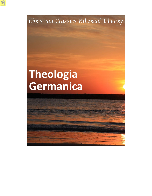Christian Classics Ethereal Library

# **Theologia** Germanica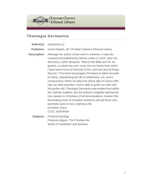

# **Theologia Germanica**

- **Author(s):** anonymous () **Publisher:** Grand Rapids, MI: Christian Classics Ethereal Library **Description:** Although the author of this work is unknown, it was discovered and published by Martin Luther in 1516. Upon his discovery, Luther declared, "Next to the Bible and St. Augustine, no book has ever come into my hands from which I have learnt more of God and Christ, and man and all things that are." This book encourages Christians to follow the path of Christ, abandoning the life of selfishness, sin, and licentiousness.When we allow the divine light of God to infiltrate our daily activities, God is able to guide our wills with His perfect will. *Theologia Germanica* was written from within the Catholic tradition, but the author's insightful spiritual advice speaks to Christians of all denominations. Indeed, this illuminating work of Christian mysticism will aid those who earnestly seek to live a righteous life. Emmalon Davis CCEL Staff Writer
	- **Subjects:** Practical theology Practical religion. The Christian life Works of meditation and devotion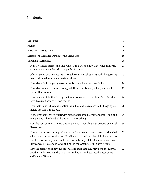# Contents

| <b>Title Page</b>                                                                                                                                                                                                                                                                                                                  | $\mathbf{1}$   |
|------------------------------------------------------------------------------------------------------------------------------------------------------------------------------------------------------------------------------------------------------------------------------------------------------------------------------------|----------------|
| Preface                                                                                                                                                                                                                                                                                                                            | $\mathfrak{Z}$ |
| <b>Historical Introduction</b>                                                                                                                                                                                                                                                                                                     | 6              |
| Letter from Chevalier Bunsen to the Translator                                                                                                                                                                                                                                                                                     | 16             |
| Theologia Germanica                                                                                                                                                                                                                                                                                                                |                |
| Of that which is perfect and that which is in part, and how that which is in part<br>is done away, when that which is perfect is come.                                                                                                                                                                                             | 21             |
| Of what Sin is, and how we must not take unto ourselves any good Thing, seeing<br>that it belongeth unto the true Good alone.                                                                                                                                                                                                      | 23             |
| How Man's Fall and going astray must be amended as Adam's Fall was.                                                                                                                                                                                                                                                                | 24             |
| How Man, when he claimeth any good Thing for his own, falleth, and toucheth<br>God in His Honour.                                                                                                                                                                                                                                  | 25             |
| How we are to take that Saying, that we must come to be without Will, Wisdom,<br>Love, Desire, Knowledge, and the like.                                                                                                                                                                                                            | 26             |
| How that which is best and noblest should also be loved above all Things by us,<br>merely because it is the best.                                                                                                                                                                                                                  | 28             |
| Of the Eyes of the Spirit wherewith Man looketh into Eternity and into Time, and<br>how the one is hindered of the other in its Working.                                                                                                                                                                                           | 29             |
| How the Soul of Man, while it is yet in the Body, may obtain a Foretaste of eternal<br>Blessedness.                                                                                                                                                                                                                                | 30             |
| How it is better and more profitable for a Man that he should perceive what God<br>will do with him, or to what end He will make Use of him, than if he knew all that<br>God had ever wrought, or would ever work through all the Creatures; and how<br>Blessedness lieth alone in God, and not in the Creatures, or in any Works. | 31             |
| How the perfect Men have no other Desire than that they may be to the Eternal<br>Goodness what His Hand is to a Man, and how they have lost the Fear of Hell,<br>and Hope of Heaven.                                                                                                                                               | 33             |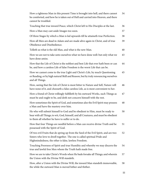| How a righteous Man in this present Time is brought into hell, and there cannot<br>be comforted, and how he is taken out of Hell and carried into Heaven, and there<br>cannot be troubled.                              | 34 |
|-------------------------------------------------------------------------------------------------------------------------------------------------------------------------------------------------------------------------|----|
| Touching that true inward Peace, which Christ left to His Disciples at the last.                                                                                                                                        | 36 |
| How a Man may cast aside Images too soon.                                                                                                                                                                               | 37 |
| Of three Stages by which a Man is led upwards till he attaineth true Perfection.                                                                                                                                        | 38 |
| How all Men are dead in Adam and are made alive again in Christ, and of true<br>Obedience and Disobedience.                                                                                                             | 39 |
| Telleth us what is the old Man, and what is the new Man.                                                                                                                                                                | 40 |
| How we are not to take unto ourselves what we have done well: but only what we<br>have done amiss.                                                                                                                      | 43 |
| How that the Life of Christ is the noblest and best Life that ever hath been or can<br>be, and how a careless Life of false Freedom is the worst Life that can be.                                                      | 44 |
| How we cannot come to the true Light and Christ's Life, by much Questioning<br>or Reading, or by high natural Skill and Reason, but by truly renouncing ourselves<br>and all Things.                                    | 45 |
| How, seeing that the Life of Christ is most bitter to Nature and Self, Nature will<br>have none of it, and chooseth a false careless Life, as is most convenient to her.                                                | 46 |
| How a friend of Christ willingly fulfilleth by his outward Works, such Things as<br>must be and ought to be, and doth not concern himself with the rest.                                                                | 47 |
| How sometimes the Spirit of God, and sometimes also the Evil Spirit may possess<br>a Man and have the mastery over him.                                                                                                 | 48 |
| He who will submit himself to God and be obedient to Him, must be ready to<br>bear with all Things; to wit, God, himself, and all Creatures, and must be obedient<br>to them all whether he have to suffer or to do.    | 50 |
| How that four Things are needful before a Man can receive divine Truth and be<br>possessed with the Spirit of God.                                                                                                      | 51 |
| Of two evil Fruits that do spring up from the Seed of the Evil Spirit, and are two<br>Sisters who love to dwell together. The one is called spiritual Pride and<br>Highmindedness, the other is false, lawless Freedom. | 52 |
| Touching Poorness of Spirit and true Humility and whereby we may discern the<br>true and lawful free Men whom the Truth hath made free.                                                                                 | 54 |
| How we are to take Christ's Words when He bade forsake all Things; and wherein<br>the Union with the Divine Will standeth.                                                                                              | 57 |
| How, after a Union with the Divine Will, the inward Man standeth immoveable,<br>the while the outward Man is moved hither and thither.                                                                                  | 58 |

iii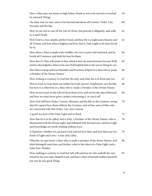| How a Man may not attain so high before Death as not to be moved or touched<br>by outward Things.                                                                                                                       | 59 |
|-------------------------------------------------------------------------------------------------------------------------------------------------------------------------------------------------------------------------|----|
| On what wise we may came to be beyond and above all Custom, Order, Law,<br>Precepts and the like.                                                                                                                       | 60 |
| How we are not to cast off the Life of Christ, but practise it diligently, and walk<br>in it until Death.                                                                                                               | 61 |
| How God is a true, simple, perfect Good, and how He is a Light and a Reason and<br>all Virtues, and how what is highest and best, that is, God, ought to be most loved<br>by us.                                        | 62 |
| How when a Man is made truly Godlike, his Love is pure and unmixed, and he<br>loveth all Creatures, and doth his best for them.                                                                                         | 64 |
| How that if a Man will attain to that which is best, he must forswear his own Will;<br>and he who helpeth a Man to his own Will helpeth him to the worst Thing he can.                                                  | 65 |
| How there is deep and true Humility and Poorness of Spirit in a Man who is 'made<br>a Partaker of the Divine Nature.'                                                                                                   | 66 |
| How nothing is contrary to God but Sin only; and what Sin is in Kind and Act.                                                                                                                                           | 67 |
| How in God, as God, there can neither be Grief, Sorrow, Displeasure, nor the like,<br>but how it is otherwise in a Man who is 'made a Partaker of the Divine Nature.'                                                   | 68 |
| How we are to put on the Life of Christ from Love, and not for the sake of Reward,<br>and how we must never grow careless concerning it, or cast it off.                                                                | 69 |
| How God will have Order, Custom, Measure, and the like in the Creature, seeing<br>that He cannot have them without the Creature, and of four sorts of Men who<br>are concerned with this Order, Law, and Custom.        | 70 |
| A good Account of the False Light and its Kind.                                                                                                                                                                         | 72 |
| Now that he is to be called, and is truly, a Partaker of the Divine Nature, who is<br>illuminated with the Divine Light, and inflamed with Eternal Love, and how Light<br>and Knowledge are worth nothing without Love. | 76 |
| A Question: whether we can know God and not love Him, and how there are two<br>kinds of Light and Love-a true and a false.                                                                                              | 78 |
| Whereby we may know a Man who is made a partaker of the divine Nature, and<br>what belongeth unto him; and further, what is the token of a False Light, and a<br>False Free-Thinker.                                    | 80 |
| How nothing is contrary to God but Self-will and how he who seeketh his own<br>Good for his own sake, findeth it not; and how a Man of himself neither knoweth<br>nor can do any good Thing.                            | 83 |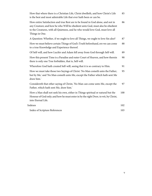| How that where there is a Christian Life, Christ dwelleth, and how Christ's Life<br>is the best and most admirable Life that ever hath been or can be.                                                                                                              | 85  |
|---------------------------------------------------------------------------------------------------------------------------------------------------------------------------------------------------------------------------------------------------------------------|-----|
| How entire Satisfaction and true Rest are to be found in God alone, and not in<br>any Creature; and how he who Will be obedient unto God, must also be obedient<br>to the Creatures, with all Quietness, and he who would love God, must love all<br>Things in One. | 86  |
| A Question: Whether, if we ought to love all Things, we ought to love Sin also?                                                                                                                                                                                     | 87  |
| How we must believe certain Things of God's Truth beforehand, ere we can come<br>to a true Knowledge and Experience thereof.                                                                                                                                        | 88  |
| Of Self-will, and how Lucifer and Adam fell away from God through Self-will.                                                                                                                                                                                        | 89  |
| How this present Time is a Paradise and outer Court of Heaven, and how therein<br>there is only one Tree forbidden, that is, Self-will.                                                                                                                             | 90  |
| Wherefore God hath created Self-will, seeing that it is so contrary to Him.                                                                                                                                                                                         | 91  |
| How we must take those two Sayings of Christ: 'No Man cometh unto the Father,<br>but by Me,' and 'No Man cometh unto Me, except the Father which hath sent Me<br>draw him.'                                                                                         | 95  |
| Considereth that other saying of Christ, 'No Man can come unto Me, except the<br>Father, which hath sent Me, draw him.                                                                                                                                              | 97  |
| How a Man shall not seek his own, either in Things spiritual or natural but the<br>Honour of God only; and how he must enter in by the right Door, to wit, by Christ,<br>into Eternal Life.                                                                         | 100 |
| Indexes                                                                                                                                                                                                                                                             |     |
| Index of Scripture References                                                                                                                                                                                                                                       | 103 |
|                                                                                                                                                                                                                                                                     |     |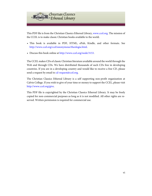

This PDF file is from the Christian Classics Ethereal Library, [www.ccel.org.](http://www.ccel.org) The mission of the CCEL is to make classic Christian books available to the world.

- This book is available in PDF, HTML, ePub, Kindle, and other formats. See <http://www.ccel.org/ccel/anonymous/theologia.html>.
- Discuss this book online at [http://www.ccel.org/node/3153.](http://www.ccel.org/node/3153)

The CCEL makes CDs of classic Christian literature available around the world through the Web and through CDs. We have distributed thousands of such CDs free in developing countries. If you are in a developing country and would like to receive a free CD, please send a request by email to [cd-request@ccel.org.](mailto:cd-request@ccel.org)

The Christian Classics Ethereal Library is a self supporting non-profit organization at Calvin College. If you wish to give of your time or money to support the CCEL, please visit [http://www.ccel.org/give.](http://www.ccel.org/give)

This PDF file is copyrighted by the Christian Classics Ethereal Library. It may be freely copied for non-commercial purposes as long as it is not modified. All other rights are reserved. Written permission is required for commercial use.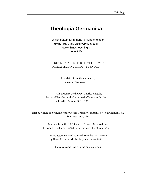# <span id="page-7-0"></span>**Theologia Germanica**

Which setteth forth many fair Lineaments of divine Truth, and saith very lofty and lovely things touching a perfect life

## EDITED BY DR. PEIFFER FROM THE ONLY COMPLETE MANUSCRIPT YET KNOWN

Translated from the German by Susanna Winkworth

With a Preface by the Rev. Charles Kingsley Rector of Eversley, and a Letter to the Translator by the Chevalier Bunsen, D.D., D.C.L., etc.

First published as a volume of the Golden Treasury Series in 1874. New Edition 1893 Reprinted 1901, 1907

> Scanned from the 1893 Golden Treasury Series edition by John H. Richards (jhr@elidor.demon.co.uk), March 1995

Introductory material scanned from the 1907 reprint by Harry Plantinga (hplantin@calvin.edu), 1996

This electronic text is in the public domain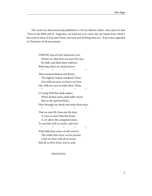This work was discovered and published in 1516 by Martin Luther, who said of it that "Next to the Bible and St. Augustine, no book has ever come into my hands from which I have learnt more of God and Christ, and man and all things that are." It has since appealed to Christians of all persuasions.

> STRONG Son of God, Immortal Love, Whom we, that have not seen Thy face, By faith, and faith alone embrace, Believing where we cannot prove. \* \* \* \* \* Thou seemest human and divine, The highest, holiest manhood Thou; Our wills are ours, we know not how, Our wills are ours to make them Thine. \* \* \* \* \* O Living Will that shalt endure, When all that seems shall suffer shock Rise in the spiritual Rock, Flow through our deeds and make them pure. \* \* \* \* \* That we may lift, from out the dust, A voice as unto Him that hears, A cry above the conquered years, To one that with us works, and trust \* \* \* \* \* With faith that comes of self-control The truths that never can be proved, Until we close with all we loved find all we flow from, soul in soul.

> > TENNYSON.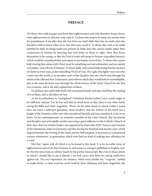# **PREFACE**

<span id="page-9-0"></span>TO those who really hunger and thirst after righteousness; and who therefore long to know what righteousness is, that they may copy it: To those who long to be freed, not merely from the punishment of sin after they die, but from sin itself while they live on earth; and who therefore wish to know what sin is, that they may avoid it: To those who wish to be really justified by faith, by being made just persons by faith; and who cannot satisfy either their consciences or reasons by fancying that God looks on them as right, when they know themselves to be wrong, or that the God of truth will stoop to fictions (miscalled forensic) which would be considered false and unjust in any human court of law: To those who cannot help trusting that union with Christ must be something real and substantial, and not merely a metaphor, and a flower of rhetoric: To those, lastly, who cannot help seeing that the doctrine of Christ in every man, as the Indwelling Word of God, The Light who lights every one who comes into the world, is no peculiar tenet of the Quakers, but one which runs through the whole of the Old and New Testaments, and without which they would both be unintelligible, just as the same doctrine runs through the whole history of the Early Church for the first two centuries, and is the only explanation of them;

To all these this noble little book will recommend itself; and may God bless the reading of it to them, and to all others no less.

As for its orthodoxy; to "evangelical" Christians Martin Luther's own words ought to be sufficient warrant. For he has said that he owed more to this, than to any other book, saving the Bible and Saint Augustine. Those, on the other hand, to whom Luther's name does not seem a sufficient guarantee, must recollect, that the Author of this book was a knight of the Teutonic order; one who considered himself, and was considered, as far as we know, by his contemporaries, an orthodox member of the Latin Church; that his friends and disciples were principally monks exercising a great influence in the Catholic Church of their days; that one of their leaders was appointed by Pope John XXII. Nuncio and overseer of the Dominican order in Germany; and that during the hundred and seventy years which elapsed between the writing of this book and the Reformation, it incurred no ecclesiastical censure whatsoever, in generations which were but too fond of making men offenders for a word.

Not that I agree with all which is to be found in this book. It is for its noble views of righteousness and of sin that I honour it, and rejoice at seeing it published in English, now for the first time from an edition based on the perfect manuscript. But even in those points in which I should like to see it altered, I am well aware that there are strong authorities against me. The very expression, for instance, which most startles me, "vergottet," deified or made divine, is used, word for word, both by Saint Athanase and Saint Augustine, the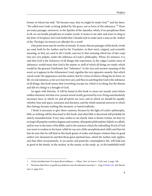former of whom has said: "He became man, that we might be made God;" $^{\rm l}$  and the latter, "He called men Gods, as being deified by His grace, not as born of His substance."<sup>2</sup> There are many passages, moreover, in the Epistles of the Apostles, which, if we paraphrase them at all, we can hardly paraphrase in weaker words. It seems to me safer and wiser to cling to the letter of Scripture: but God forbid that I should wish to make such a man as the Author of the Theologia Germanica an offender for a word!

One point more may be worthy of remark. In many obscure passages of this book, words are used, both by the Author and by the Translator, in their strict, original, and scientific meaning, as they are used in the Creeds, and not in that meaning which has of late crept into our very pulpits, under the influence of Locke's philosophy. When, for instance, it is said that God is the *Substance* of all things; this expression, in the vulgar Lockite sense of substance, would mean that God is the matter or stuff of which all things are made; which would be the grossest Pantheism: but "Substance" in the true and ancient meaning of the word, as it appears in the Athanasian Creed, signifies the very opposite; namely, that which stands under the appearance and the matter; that by virtue of which a thing has its form, its life, its real existence, as far as it may have any; and thus in asserting that God is the substance of all things, this book means that everything (except sin, which is no thing, but the disease and fall of a thing) is a thought of God.

So again with Eternity. It will be found in this book to mean not merely some future endless duration, but that ever-present moral world, governed by ever-living and absolutely necessary laws, in which we and all spirits are now; and in which we should be equally, whether time and space, extension and duration, and the whole material universe to which they belong, became nothing this moment, or lasted endlessly.

I think it necessary to give these cautions, because by the light of Locke's philosophy, little or nothing will be discerned in this book, and what little is discerned will probably be utterly misunderstood. If any man wishes to see clearly what is herein written, let him try to forget all popular modern dogmas and systems, all popular philosophies (falsely so called), and be true to the letter of his Bible, and to the instincts which the Indwelling Word of God was wont to awaken in his heart, while he was yet a little unsophisticated child; and then let him be sure that he will find in this book germs of wider and deeper wisdom than its good author ever dreamed of; and that those great spiritual laws, which the Author only applies, and that often inconsistently, to an ascetic and passively contemplative life, will hold just as good in the family, in the market, in the senate, in the study, ay, in the battlefield itself;

<sup>1</sup> Αὐτὸς ἐπηνθρώπησεν ἵνα ἡμεῖς θεοποιηθῶμεν .—Athan. Orat. de Incarn. Verbi, tom. I. page. 108.

<sup>&</sup>lt;sup>2</sup> "Homines dixit Deos, ex gradia sua *deificatos*; non de substantia sua natos,"—Aug. in [Psalm xlix.](http://www.ccel.org/study/Bible:Ps.49) (Ed. Bened. tom. iv. page 414.)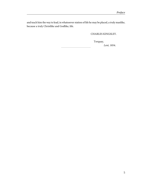and teach him the way to lead, in whatsoever station of life he may be placed, a truly manlike, because a truly Christlike and Godlike, life.

CHARLES KINGSLEY.

Torquay,

Lent, 1854.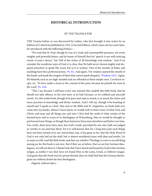# **HISTORICAL INTRODUCTION**

#### BY THE TRANSLATOR

<span id="page-12-0"></span>THE Treatise before us was discovered by Luther, who first brought it into notice by an Edition of it which he published in 1516. A Second Edition, which came out two years later, he introduced with the following Preface:—

"We read that St. Paul, though he was of a weak and contemptible presence, yet wrote weighty and powerful letters, and he boasts of himself that his 'speech is not with enticing words of man's device,' but 'full of the riches of all knowledge and wisdom.' And if we consider the wondrous ways of God, it is clear, that He hath never chosen mighty and eloquent preachers to speak His word, but as it is written: 'Out of the mouths of babes and sucklings hast thou perfected praise,' [Ps. 8:2.](http://www.ccel.org/study/Bible:Ps.8.2) And again, 'For wisdom opened the mouth of the dumb, and made the tongues of them that cannot speak eloquent,' [Wisdom 10:21.](http://www.ccel.org/study/Bible:Wis.10.21) Again, He blameth such as are high-minded and are offended at these simple ones. Consilium inopis, etc. 'Ye have made a mock at the counsel of the poor, because he putteth his trust in the Lord,' [Ps. 14:6.](http://www.ccel.org/study/Bible:Ps.14.6)

"This I say because I will have every one warned who readeth this little book, that he should not take offence, to his own hurt, at its bad German, or its crabbed and uncouth words. For this noble book, though it be poor and rude in words, is so much the richer and more precious in knowledge and divine wisdom. And I will say, though it be boasting of myself and 'I speak as a fool,' that next to the Bible and St. Augustine, no book hath ever come into my hands, whence I have learnt, or would wish to learn more of what God, and Christ, and man and all things are; and now I first find the truth of what certain of the learned have said in scorn of us theologians of Wittemberg, that we would be thought to put forward new things, as though there had never been men elsewhere and before our time. Yea, verily, there have been men, but God's wrath, provoked by our sins, hath not judged us worthy to see and hear them; for it is well known that for a long time past such things have not been treated of in our universities; nay, it has gone so far, that the Holy Word of God is not only laid on the shelf, but is almost mouldered away with dust and moths. Let as many as will, read this little book, and then say whether Theology is a new or an old thing among us; for this book is not new. But if they say as before, that we are but German theologians, we will not deny it. I thank God, that I have heard and found my God in the German tongue, as neither I nor they have yet found Him in the Latin, Greek, or Hebrew tongue. God grant that this book may be spread abroad, then we shall find that the German theologians are without doubt the best theologians.

(Signed, without date,)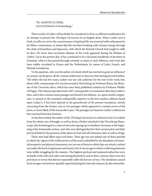#### "Dr. MARTIN LUTHER, AUGUSTINIAN of Wittemberg."

These words of Luther will probably be considered to form a sufficient justification for an attempt to present the *Theologia Germanica* in an English dress. When Luther sent it forth, its effort to revive the consciousness of spiritual life was received with enthusiasm by his fellow-countrymen, in whom that life was then breaking with volcanic energy through the clods of formalism and hypocrisy, with which the Romish Church had sought to stifle its fires. No fewer than seventeen editions of the work appeared during the lifetime of Luther. Up to the present day, it has continued to be a favourite handbook of devotion in Germany, where it has passed through certainly as many as sixty Editions, and it has also been widely circulated in France and the Netherlands, by means of Latin, French, and Flemish translations.

To the question, who was the author of a book which has exerted so great an influence? no answer can be given, all the various endeavours to discover him having proved fruitless. Till within the last few years, Luther was our sole authority for the text of the work, but, about 1850, a manuscript of it was discovered at Wurtzburg, by Professor Reuss, the librarian of the University there, which has since been published verbatim by Professor Pfeiffer of Prague. This Manuscript dates from 1497; consequently it is somewhat older than Luther's time, and it also contains some passages not found in his editions. As, upon careful comparison, it seemed to the translator indisputably superior to the best modern editions based upon Luther's, it has been selected as the groundwork of the present translation, merely correcting from the former, one or two passages which appeared to contain errors of the press, or more likely of the transcriber's pen. The passages not found in Luther's edition are here enclosed between brackets.

As has been stated, the author of the *Theologia Germanica* is unknown; but it is evident from his whole cast of thought, as well as from a Preface attached to the Wurtzburg Manuscript, that he belonged to a class of men who sprang up in Southern Germany at the beginning of the fourteenth century, and who were distinguished for their earnest piety and their practical belief in the presence of the Spirit of God with all Christians, laity as well as clergy.

These men had fallen upon evil times. Their age was not indeed one of those periods in which the vigour of the nobler powers of the soul is enfeebled by the abundance of material prosperity and physical enjoyment, nor yet one of those in which they are utterly crushed out under the hoof of oppression and misery; but it was an age in which conflicting elements were wildly struggling for the mastery. The highest spiritual and temporal authorities were at deadly strife with each other and among themselves; and in their contests, there were few provinces or towns that did not repeatedly suffer the horrors of war. The desolation caused by its ravages was however speedily repaired during the intervals of peace, by the extraordin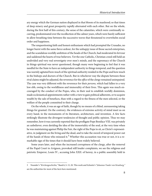ary energy which the German nation displayed in that bloom of its manhood; so that times of deep misery and great prosperity rapidly alternated with each other. But on the whole, during the first half of this century, the sense of the calamities, which were continually recurring, predominated over the recollection of the calmer years, which were barely sufficient to allow breathing time between the successive waves that threatened to overwhelm social order and happiness.

The unquestioning faith and honest enthusiasm which had prompted the Crusades, no longer burnt with the same fierce ardour, for the unhappy issue of those sacred enterprises, and the scandalous worldly ambition of the heads of the Church, had moderated its fervour and saddened the hearts of true believers. Yet the one Catholic, Christian creed still held an undivided and very real sovereignty over men's minds, and the supremacy of the Church in things spiritual was never questioned, though many were beginning to feel that it was needful for the State to have an independent authority in things temporal, and the question was warmly agitated how much of the spiritual authority resided in the Pope and how much in the bishops and doctors of the Church. But in whichever way the dispute between these rival claims might be adjusted, the reverence for the office of the clergy remained unimpaired. The case was very different with the reverence for their *persons*, which had fallen to a very low ebb, owing to the worldliness and immorality of their lives. This again was much encouraged by the conduct of the Popes, who, in their zeal to establish worldly dominion, made ecclesiastical appointments rather with a view to gain political adherents, or to acquire wealth by the sale of benefices, than with a regard to the fitness of the men selected, or the welfare of the people committed to their charge.

On the whole, it was an age of faith, though by no means of a blind, unreasoning taking things for granted. On the contrary, the evidences of extreme activity of mind meet us on every hand, in the monuments of its literature, architecture, and invention. A few facts strikingly illustrate the divergent tendencies of thought and public opinion. Thus we may remember, how it was currently reported that the profligate Pope Boniface VIII. was privately an unbeliever, even deriding the idea of the immortality of the soul, at the very time when he was maintaining against Philip the Fair, the right of the Pope to sit, as Christ's representative, in judgment on the living and the dead, and to take the sword of temporal power out of the hands of those who misused it.<sup>3</sup> Whether this accusation was true or not, it is a remarkable sign of the times that it should have been widely believed.

Some years later, and when the increased corruptness of the clergy, after the removal of the Papal Court to Avignon, provoked still louder complaints, we see the religious and patriotic Emperor, Louis IV., accusing John XXII. of heresy, in a public assembly held in

<sup>3</sup> Neander's "Kirchengeschichte," Band 6, S. 15, 20. This work and Schmitz's "Johannes Tauler von Strasburg," are the authorities for most of the facts here mentioned.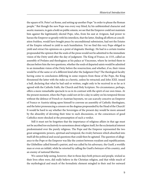the square of St. Peter's at Rome, and setting up another Pope "in order to please the Roman people." But though the new Pope was every way fitted, by his unblemished character and ascetic manners, to gain a hold on public esteem, we see that the Emperor could not maintain him against the legitimately elected Pope, who, from his seat at Avignon, had power to harass the Emperor so greatly with his interdicts, that the latter, finding all efforts at conciliation fruitless, would have bought peace by unconditional submission, had not the Estates of the Empire refused to yield to such humiliation. Yet we find this very Pope obliged to yield and retract his opinions on a point of dogmatic theology. He had in a certain treatise propounded the opinion that the souls of the pious would not be admitted to the immediate vision of the Deity until after the day of judgment. The King of France, in 1333, called an assembly of Prelates and theologians at his palace at Vincennes, where he invited them to discuss before him the two questions, whether the souls of departed saints would be admitted to an immediate vision of the Deity before the resurrection; and whether, if so, their vision would be of the same or of a different kind after the Judgment Day? The theological faculty having come to conclusions differing in some respects from those of the Pope, the King threatened the latter with the stake as a heretic, unless he retracted; and John XXII. issued a bull, declaring that what he had said or written, ought only to be received in so far as it agreed with the Catholic Faith, the Church and Holy Scripture. No circumstance, perhaps, offers a more remarkable spectacle to us in its contrast with the spirit of our own times. At the present moment, when the Pope could not sit for a day in safety on his temporal throne without the defence of French or Austrian bayonets, we can scarcely conceive an Emperor of France or Austria taking upon himself to convene an assembly of Catholic theologians, and the latter pronouncing a censure on the dogmas propounded by the Head of the Church! It would be hard to say whether the Sovereigns of the present day would be more amused by the absurdity of devoting their time to such discussions, or the consciences of good Catholics more shocked at the presumption of such a verdict.

Still it must not be forgotten that the importance of religious affairs in that age must not be ascribed too exclusively to earnestness about religion itself, for the ecclesiastical interest predominated over the purely religious. The Pope and the Emperor represented the two great antagonistic powers, spiritual and temporal, the rivalry between which absorbed into itself all the political and social questions that could then be agitated. The question of allegiance to the Pope or the Emperor was like the contest between royalism and republicanism; the Ghibelline called himself a patriot, and was called by his adversary, the Guelf, a worldly man or even an infidel, while he retorted by calling the Guelf a betrayer of his country, and an enemy of national liberties.

We cannot help seeing, however, that in those days both princes and people, wicked as their lives often were, did really believe in the Christian religion, and that while much of the mythological and much of the formalistic element mingled in their zeal for outward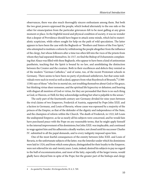observances, there was also much thoroughly sincere enthusiasm among them. But both the two great powers oppressed the people, which looked alternately to the one side or the other for emancipation from the particular grievances felt to be most galling at any given moment or place. In the frightful moral and physical condition of society, it was no wonder that a despair of Providence should have begun to attack some minds, which led to materialistic scepticism, while others sought for help on the path of wild speculation. The latter appears to have been the case with the Beghards or "Brothers and Sisters of the Free Spirit," who attempted to institute a reform by withdrawing the people altogether from the influence of the clergy, but whose followers after a time too often fell into the vices of the priests from whom they had separated themselves. In 1317, we find the Bishop of Ochsenstein complaining that Alsace was filled with these Beghards, who appear to have been a kind of antinomian pantheists, teaching that the Spirit is bound by no law, and annihilating the distinction between the Creator and the creature. Both in their excellences and defects they remind us of the modern "German Catholics," and of some, too, of the recent Protestant schools in Germany. There seems to have been no party of professed unbelievers, but that some individuals were such in word as well as deed, appears from what Ruysbroch of Brussels, $^4$  (1300-1330) says of those "who live in mortal sin, not troubling themselves about God or His grace, but thinking virtue sheer nonsense, and the spiritual life hypocrisy or delusion; and hearing with disgust all mention of God or virtue, for they are persuaded that there is no such thing as God, or Heaven, or Hell; for they acknowledge nothing but what is palpable to the senses."

The early part of the fourteenth century saw Germany divided for nine years between the rival claims of two Emperors, Frederick of Austria, supported by Pope John XXII. and a faction in Germany, and Louis of Bavaria, whose cause was espoused by a majority of the princes of the Empire, as that of the defender of the dignity and independence of the State, and the champion of reform within the Church. The death of Frederick, in 1322, left Louis the undisputed Emperor, as far as nearly all his subjects were concerned, and he would fain have purchased peace with the Pope on any reasonable terms, that he might apply himself to the internal improvement of his dominions; but John XXII. was implacable, and continued to wage against him and his adherents a deadly warfare, not closed until his successor Charles IV. submitted to all the papal demands, and to every indignity imposed upon him.

One of the most fearful consequences of the enmity between John XXII. and Louis of Bavaria, to the unfortunate subjects of the latter, was the Interdict under which his dominions were laid in 1324, and from which some places, distinguished for their loyalty to the Emperor, were not relieved for six-and-twenty years. Louis, indeed, desired his subjects to pay no regard to the bull of excommunication, and most of the laity, especially of the larger towns, would gladly have obeyed him in spite of the Pope; but the greater part of the bishops and clergy

As quoted by Neander. Kirchengeschichte, B. 6, S. 769.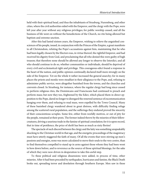held with their spiritual head, and thus the inhabitants of Strasburg, Nuremberg, and other cities, where the civil authorities sided with the Emperor, and the clergy with the Pope, were left year after year without any religious privileges; for public worship ceased, and all the business of life went on without the benedictions of the Church, no rite being allowed but baptism and extreme unction.

After this had lasted sixteen years, the Emperor, wishing to relieve the anguished consciences of his people, issued, in conjunction with the Princes of the Empire, a great manifesto to all Christendom, refuting the Pope's accusations against him, maintaining that he who had been legally chosen by the Electors was, in virtue thereof, the rightful Emperor, and had received his dignity from God, and proclaiming that all who denied this were guilty of high treason; that therefore none should be allowed any longer to observe the Interdict, and all who should continue to do so, whether communities or individuals, should be deprived of every civil and ecclesiastical right and privilege. This courageous edict found a response in the heart of the nation, and public opinion continually declared itself more strongly on the side of the Emperor. Yet on the whole it rather increased the general anarchy; for in many places the priests and monks were steadfast in their allegiance to the Pope, and, refusing to administer public service, were altogether banished from the towns, and the churches and convents closed. In Strasburg, for instance, where the regular clergy had long since ceased to perform religious rites, the Dominicans and Franciscans had continued to preach and perform mass; but now they too, frightened by the Edict, which placed them in direct opposition to the Pope, dared no longer to disregard the renewed sentence of excommunication hanging over them, and refusing to read mass, were expelled by the Town Council. Many of these banished clergy wandered about in great distress, with difficulty finding refuge among the scattered rural population, and the sufferings they endured proved the sincerity of their conscientious scruples. Some few, either from worldly motives, or out of pity for the people, remained at their posts. The former indeed throve by the miseries of their fellowcreatures, driving a usurious trade in the famine of spiritual consolation; for it is upon record, that in time of pestilence, the price of shrift has been as much as sixty florins!

The spectacle of such discord between the clergy and the laity was something unspeakably shocking to the Christian world in that age, and the energetic proceedings of the magistracy must have utterly staggered the faith of many. Of all the events that were stirring up men's passions and energies, none was more calculated to move their souls to the very centre, than to find themselves compelled to stand up in arms against those whom they had been wont to bow down before, and to reverence as the source of those spiritual blessings, for the sake of which they were now driven in desperation to take this awful step.

To these political and religious dissensions were added, in process of time, other miseries. After it had been preceded by earthquakes, hurricanes and famine, the Black Death broke out, spreading terror and desolation through Southern Europe. Men saw in these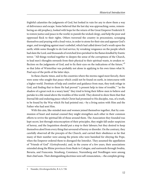frightful calamities the judgments of God, but looked in vain for any to show them a way of deliverance and escape. Some believed that the last day was approaching; some, remembering an old prophecy, looked with hope for the return of the Great Emperor Frederick II. to restore justice and peace in the world, to punish the wicked clergy, and help the poor and oppressed flock to their rights. Others traversed the country in processions, scourging themselves and praying with a loud voice, in order to atone for their sins and appease God's anger, and inveighing against man's unbelief, which had called down God's wrath upon the earth; while some thought to do God service, by wreaking vengeance on the people which had slain the Lord, and thousands of wretched Jews perished in the flames kindled by frantic terror. "All things worked together to deepen the sense of the corruptness of the Church, to lead men's thoughts onwards from their physical to their spiritual wants, to awaken reflection on the judgments of God, and to fix their eyes on the indications of the future,''<sup>5</sup> so that John of Winterthur was probably not alone in applying to his own times what St. Paul says of the perils of the latter days.

In these chaotic times, and in the countries where the storms raged most fiercely, there were some who sought that peace which could not be found on earth, in intercourse with a higher world. Destitute of help and comfort and guidance from man, they took refuge in God, and finding that to them He had proved "a present help in time of trouble," "as the shadow of a great rock in a weary land," they tried to bring their fellow-men to believe and partake in a life raised above the troubles of this world. They desired to show them that that Eternal life and enduring peace which Christ had promised to His disciples, was, of a truth, to be found by the Way which He had pointed out,—by a living union with Him and the Father who had sent Him.

With this aim, like-minded men and women joined themselves together, that by communion of heart and mutual counsel they might strengthen each other in their common efforts to revive the spiritual life of those around them. The Association they founded was kept secret, lest through misconception of their principles, they might fall under suspicion of heresy, and the Inquisition should put a stop to their labours; but they desired to keep themselves aloof from every thing that savoured of heresy or disorder. On the contrary, they carefully observed all the precepts of the Church, and carried their obedience so far that many of their number were among the priests who were banished for obeying the Pope, when the Emperor ordered them to disregard the Interdict. They assumed the appellation of "Friends of God" (Gottesfreunde), and, in the course of a few years, their associations extended along the Rhine provinces from Basle to Cologne, and eastwards through Swabia, Bavaria, and Franconia. Strasburg, Constance, Nuremberg and Nordlingen were among their chief seats. Their distinguishing doctrines were self-renunciation,—the complete giving-

<sup>5</sup> Neander, Kircshengeschichte, B. 6, S. 728.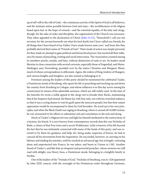up of self-will to the will of God;—the continuous activity of the Spirit of God in all believers, and the intimate union possible between God and man;—the worthlessness of all religion based upon fear or the hope of reward;—and the essential equality of the laity and clergy, though, for the sake of order and discipline, the organization of the Church was necessary. They often appealed to the declaration of Christ [\(John 15:15](http://www.ccel.org/study/Bible:John.15.15)), "Henceforth I call you not servants; for the servant knoweth not what his lord doeth; but I have called you friends; for all things that I have heard of my Father I have made known unto you;" and from this they probably derived their name of "Friends of God." Their mode of action was simply personal, for they made no attempt to gain political and hierarchical power, but exerted all their influence by means of preaching, writing and social intercourse. The Association counted among its members priests, monks, and laity, without distinction of rank or sex. Its leaders stood likewise in close connection with several convents, especially those of Engenthal, and Maria-Medingen near Nuremberg, presided over by the sisters Christina and Margaret Ebner, much of whose correspondence is still extant. Agnes, the widow of King Andrew of Hungary, and various knights and burghers, are also named as belonging to it.

Foremost among the leaders of this party should be mentioned the celebrated Tauler, a Dominican monk of Strasburg, who spent his life in preaching and teaching up and down the country from Strasburg to Cologne, and whose influence is to this day active among his countrymen by means of his admirable sermons, which are still widely read. At the time of the Interdict he wrote a noble appeal to the clergy not to forsake their flocks, maintaining that if the Emperor had sinned, the blame lay with him only, not with his wretched subjects, so that it was a crying shame to visit his guilt upon the innocent people, but that their unjust oppression would be recompensed to them by God hereafter. He acted up to his own principles, and when the Black Death was raging in Strasburg, where it carried off 16,000 victims, he was unwearied in his efforts to administer aid and consolation to the sick and dying.

Much of Tauler's religious fervour and light he himself attributed to the instructions of a layman, his friend. It is now known from contemporary records that this was Nicholas of Basle, a citizen of that Free town and a secret Waldensian. Little is known of his life beyond the fact that he was intimately connected with many of the heads of this party, and was resorted to by them for guidance and help; for, being under suspicion of heresy, he had to conceal all his movements from the Inquisition. He succeeded, however, in carrying on his labours and eluding his enemies, until he reached an advanced age; but at length, venturing alone and unprotected into France, he was taken, and burnt at Vienne in 1382. Another friend of Tauler's, and like him an eloquent and powerful preacher, whose sermons are still read with delight, was Henry Suso, a Dominican monk, belonging to a knightly family in Swabia.

One of the leaders of the "Friends of God," Nicholas of Strasburg, was in 1326 appointed by John XXII. nuncio, with the oversight of the Dominican order throughout Germany,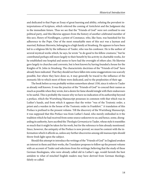and dedicated to that Pope an Essay of great learning and ability, refuting the prevalent interpretations of Scripture, which referred the coming of Antichrist and the Judgment day to the immediate future. Thus we see that the "Friends of God" were not confined to one political party, and this likewise appears from the history of another celebrated member of this sect, Henry of Nordlingen, a priest of Constance, who, like Suso, was banished for his adherence to the Pope. One of the most remarkable men of this sect was a layman and married, Rulman Merswin, belonging to a high family at Strasburg. He appears to have been led to a religious life by the influence of Tauler, who was his confessor. He is the author of several mystical works which, he says, he wrote "to do good to his fellow creatures," but he contributed perhaps still more largely to their benefit by his activity in charitable works, for he established one hospital and seems to have had the oversight of others also. He likewise gave largely to churches and convents, but is best known by having founded a house for the Knights of St. John in Strasburg. The characteristic doctrines of the "Friends of God" have already been indicated. That they should not have fallen into some exaggerations was scarcely possible, but where they have done so, it may generally be traced to the influence of the monastic life to which most of them were dedicated, and to the perplexities of their age.

The book before us was probably written somewhere about 1350, since it refers to Tauler as already well known. It was the practice of the "Friends of God" to conceal their names as much as possible when they wrote, lest a desire for fame should mingle with their endeavours to be useful. This is probably the reason why we have no indication of its authorship beyond a preface, which the Wurtzburg Manuscript possesses in common with that which was in Luther's hands, and from which it appears that the writer "was of the Teutonic order, a priest and a warden in the house of the Teutonic order in Frankfort." A translation of this Preface is prefixed to the present volume. Till the discovery of the Wurtzburg Manuscript, it was supposed that this Preface was from Luther's hand, who merely embodied in it the tradition which he had received from some source unknown to us; and hence, some, disregarding its authority, have ascribed the *Theologia Germanica* to Tauler, whose style it resembles so much that it might be taken for his work, but for the reference to him already mentioned. Since, however, the antiquity of the Preface is now proved, we must be content with the information which it affords us, unless any further discoveries among old manuscripts should throw fresh light upon the subject.

Should this attempt to introduce the writings of the "Friends of God" in England awaken an interest in them and their works, the Translator proposes to follow up the present volume with an account of Tauler and selections from his writings; believing that the study of these German theologians, who were already called old in Luther's age, would furnish the best antidote to what of mischief English readers may have derived from German theology, falsely so called.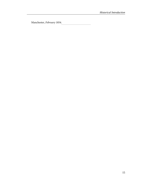Manchester, February 1854.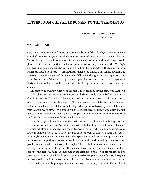#### <span id="page-22-0"></span>**LETTER FROM CHEVALIER BUNSEN TO THE TRANSLATOR**

77 Marina, St. Leonard's-on-Sea, 11th May 1854.

#### MY DEAR FRIEND,

YOUR Letter and the proof-sheets of your Translation of the Theologia Germanica, with Kingsley's Preface and your Introduction, were delivered to me yesterday, as I was leaving Carlton Terrace to breathe once more, for a few days, the refreshing air of this quiet, lovely place. You told me, at the time, that you had been led to study Tauler and the Theologia Germanica by some conversations which we had on their subjects in 1851, and you now wish me to state to your readers, in a few lines, what place I conceive this school of Germanic theology to hold in the general development of Christian thought, and what appears to me to be the bearing of this work in particular upon the present dangers and prospects of Christianity, as well as upon the eternal interests of religion in the heart of every man and woman.

In complying willingly with your request, I may begin by saying that, with Luther, I rank this short treatise next to the Bible, but, unlike him, should place it before rather than after St. Augustine. That school of pious, learned, and profound men of which this book is, as it were, the popular catechism, was the Germanic counterpart of Romanic scholasticism, and more than the revival of that Latin theology which produced so many eminent thinkers, from Augustine, its father, to Thomas Aquinas, its last great genius, whose death did not take place until after the birth of Dante, who again was the contemporary of the Socrates of the Rhenish school,—Meister Eckart, the Dominican.

The theology of this school was the first protest of the Germanic mind against the Judaism and formalism of the Byzantine and mediaeval Churches,—the hollowness of science to which scholasticism had led, and the rottenness of society which a pompous hierarchy strove in vain to conceal, but had not the power nor the will to correct. Eckart and Tauler, his pupil, brought religion home from fruitless speculation, and reasonings upon imaginary or impossible suppositions, to man's own heart and to the understanding of the common people, as Socrates did the Greek philosophy. There is both a remarkable analogy and a striking contrast between the great Athenian and those Dominican friars. Socrates did full justice to the deep ethical ideas embodied in the established religion of his country and its venerated mysteries, which he far preferred to the shallow philosophy of the sophists; but he dissuaded his pupils from seeking an initiation into the mysteries, or at least from resting their convictions and hopes upon them, exhorting them to rely, not upon the oracles of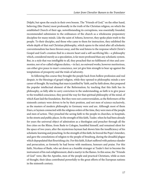Delphi, but upon the oracle in their own bosom. The "Friends of God," on the other hand, believing (like Dante) most profoundly in the truth of the Christian religion, on which the established Church of their age, notwithstanding its corruptions, was essentially founded, recommended submission to the ordinances of the church as a wholesome preparatory discipline for many minds. Like the saint of Athens, however, they spoke plain truth to the people. To their disciples, and those who came to them for instruction, they exhibited the whole depth of that real Christian philosophy, which opens to the mind after all scholastic conventionalism has been thrown away, and the soul listens to the response which Christ's Gospel and God's creation find in a sincere heart and a self-sacrificing life;—a philosophy which, considered merely as a speculation, is far more profound than any scholastic system. But, in a style that was intelligible to all, they preached that no fulfilment of rites and ceremonies, nor of so-called religious duties,—in fact, no outward works, however meritorious, can either give peace to man's conscience, nor yet give him strength to bear up against the temptations of prosperity and the trials of adversity.

In following this course they brought the people back from hollow profession and real despair, to the blessings of gospel religion, while they opened to philosophic minds a new career of thought. By teaching that man is justified by 'faith, and by faith alone, they prepared the popular intellectual element of the Reformation; by teaching that this faith has its philosophy, as fully able to carry conviction to the understanding, as faith is to give peace to the troubled conscience, they paved the way for that spiritual philosophy of the mind, of which Kant laid the foundation. But they were not controversialists, as the Reformers of the sixteenth century were driven to be by their position, and not men of science exclusively, as the masters of modern philosophy in Germany were and are. Although most of them friars, or laymen connected with the religious orders of the time, they were men of the people and men of action. They preached the saving faith to the people in churches, in hospitals, in the streets and public places. In the strength of this faith, Tauler, when he had been already for years the universal object of admiration as a theologian and preacher through all the free cities on the Rhine, from Basle to Cologne, humbled himself, and remained silent for the space of two years, after the mysterious layman had shown him the insufficiency of his scholastic learning and preaching. In the strength of this faith, he braved the Pope's Interdict, and gave the consolations of religion to the people of Strasburg, during the dreadful plague which depopulated that flourishing city. For this faith, Eckart suffered with patience slander and persecution, as formerly he had borne with meekness, honours and praise. For this faith, Nicolaus of Basle, who sat down as a humble stranger at Tauler's feet to become the instrument of his real enlightenment, died a martyr in the flames. In this sense, the "Friends of God" were, like the Apostles, men of the people and practical Christians, while as men of thought, their ideas contributed powerfully to the great efforts of the European nations in the sixteenth century.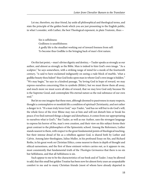Let me, therefore, my dear friend, lay aside all philosophical and theological terms, and state the principle of the golden book which you are just presenting to the English public, in what I consider, with Luther, the best Theological exponent, in plain Teutonic, thus:—

> Sin is selfishness: Godliness is unselfishness: A godly life is the steadfast working out of inward freeness from self: To become thus Godlike is the bringing back of man's first nature.

On this last point,—man's divine dignity and destiny,—Tauler speaks as strongly as our author, and almost as strongly as the Bible. Man is indeed to him God's own image. "As a sculptor," he says somewhere, with a striking range of mind for a monk of the fourteenth century, "is said to have exclaimed indignantly on seeing a rude block of marble, 'what a godlike beauty thou hidest!' thus God looks upon man in whom God's own image is hidden." "We may begin," he says in a kindred passage, "by loving God in hope of reward, we may express ourselves concerning Him in symbols *(Bilder)*, but we must throw them all away, and much more we must scorn all idea of reward, that we may love God only because He is the Supreme Good, and contemplate His eternal nature as the real substance of our own soul."

But let no one imagine that these men, although doomed to passiveness in many respects, thought a contemplative or monkish life a condition of spiritual Christianity, and not rather a danger to it. "If a man truly loves God," says Tauler, "and has no will but to do God's will, the whole force of the river Rhine may run at him and will not disturb him or break his peace; if we find outward things a danger and disturbance, it comes from our appropriating to ourselves what is God's." But Tauler, as well as our Author, uses the strongest language to express his horror of Sin, man's own creation, and their view on this subject forms their great contrast to the philosophers of the Spinozistic school. Among the Reformers, Luther stands nearest to them, with respect to the great fundamental points of theological teaching, but their intense dread of Sin as a rebellion against God, is shared both by Luther and Calvin. Among later theologians, Julius Muller, in his profound Essay on Sin, and Richard Rothe, in his great work on Christian Ethics, come nearest to them in depth of thought and ethical earnestness, and the first of these eminent writers carries out, as it appears to me, most consistently that fundamental truth of the *Theologia Germanica* that there is no sin but Selfishness, and that all Selfishness is sin.

Such appear to me to be the characteristics of our book and of Tauler. I may be allowed to add, that this small but golden Treatise has been now for almost forty years an unspeakable comfort to me and to many Christian friends (most of whom have already departed in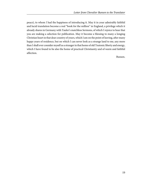peace), to whom I had the happiness of introducing it. May it in your admirably faithful and lucid translation become a real "book for the million" in England, a privilege which it already shares in Germany with Tauler's matchless Sermons, of which I rejoice to hear that you are making a selection for publication. May it become a blessing to many a longing Christian heart in that dear country of yours, which I am on the point of leaving, after many happy years of residence, but on which I can never look as a strange land to me, any more than I shall ever consider myself as a stranger in that home of old Teutonic liberty and energy, which I have found to be also the home of practical Christianity and of warm and faithful affection.

Bunsen.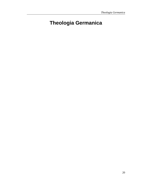# <span id="page-26-0"></span>**Theologia Germanica**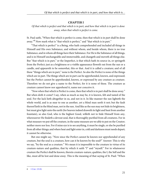#### **CHAPTER I**

<span id="page-27-0"></span>Of that which is perfect and that which is in part, and how that which is in part is done away, when that which is perfect is come.

St. Paul saith, "When that which is perfect is come, then that which is in part shall be done away."<sup>6</sup> Now mark what is "that which is perfect," and "that which is in part."

"That which is perfect" is a Being, who hath comprehended and included all things in Himself and His own Substance, and without whom, and beside whom, there is no true Substance, and in whom all things have their Substance. For He is the Substance of all things, and is in Himself unchangeable and immoveable, and changeth and moveth all things else. But "that which is in part," or the Imperfect, is that which hath its source in, or springeth from the Perfect; just as a brightness or a visible appearance floweth out from the sun or a candle, and appeareth to be somewhat, this or that. And it is called a creature; and of all these "things which are in part," none is the Perfect. So also the Perfect is none of the things which are in part. The things which are in part can be apprehended, known, and expressed; but the Perfect cannot be apprehended, known, or expressed by any creature as creature. Therefore we do not give a name to the Perfect, for it is none of these. The creature as creature cannot know nor apprehend it, name nor conceive it.

"Now when that which is Perfect is come, then that which is in part shall be done away." But when doth it come? I say, when as much as may be, it is known, felt and tasted of the soul. For the lack lieth altogether in us, and not in it. In like manner the sun lighteth the whole world, and is as near to one as another, yet a blind man seeth it not; but the fault thereof lieth in the blind man, not in the sun. And like as the sun may not hide its brightness, but must give light unto the earth (for heaven indeed draweth its light and heat from another fountain), so also God, who is the highest Good, willeth not to hide Himself from any, wheresoever He findeth a devout soul, that is thoroughly purified from all creatures. For in what measure we put off the creature, in the same measure are we able to put on the Creator; neither more nor less. For if mine eye is to see anything, it must be single, or else be purified from all other things; and where heat and light enter in, cold and darkness must needs depart; it cannot be otherwise.

But one might say, "Now since the Perfect cannot be known nor apprehended of any creature, but the soul is a creature, how can it be known by the soul?" Answer: This is why we say, "by the soul as a creature." We mean it is impossible to the creature in virtue of its creature-nature and qualities, that by which it saith "I" and "myself." For in whatsoever creature the Perfect shall be known, therein creature-nature, qualities, the I, the Self and the like, must all be lost and done away. This is the meaning of that saying of St. Paul: "When

<sup>6</sup> [1 Cor. 13:10](http://www.ccel.org/study/Bible:1Cor.13.10).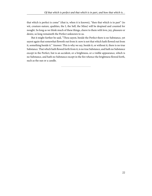that which is perfect is come" (that is, when it is known), "then that which is in part" (to wit, creature-nature, qualities, the I, the Self, the Mine) will be despised and counted for nought. So long as we think much of these things, cleave to them with love, joy, pleasure or desire, so long remaineth the Perfect unknown to us.

But it might further be said, "Thou sayest, beside the Perfect there is no Substance, yet sayest again that somewhat floweth out from it: now is not that which hath flowed out from it, something beside it." Answer: This is why we say, beside it, or without it, there is no true Substance. That which hath flowed forth from it, is no true Substance, and hath no Substance except in the Perfect, but is an accident, or a brightness, or a visible appearance, which is no Substance, and hath no Substance except in the fire whence the brightness flowed forth, such as the sun or a candle.

22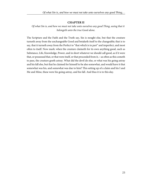#### **CHAPTER II**

<span id="page-29-0"></span>Of what Sin is, and how we must not take unto ourselves any good Thing, seeing that it belongeth unto the true Good alone.

The Scripture and the Faith and the Truth say, Sin is nought else, but that the creature turneth away from the unchangeable Good and betaketh itself to the changeable; that is to say, that it turneth away from the Perfect to "that which is in part" and imperfect, and most often to itself. Now mark: when the creature claimeth for its own anything good, such as Substance, Life, Knowledge, Power, and in short whatever we should call good, as if it were that, or possessed that, or that were itself, or that proceeded from it,—as often as this cometh to pass, the creature goeth astray. What did the devil do else, or what was his going astray and his fall else, but that he claimed for himself to be also somewhat, and would have it that somewhat was his, and somewhat was due to him? This setting up of a claim and his I and Me and Mine, these were his going astray, and his fall. And thus it is to this day.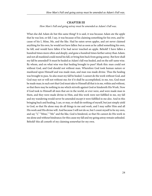#### **CHAPTER III**

How Man's Fall and going astray must be amended as Adam's Fall was.

<span id="page-30-0"></span>What else did Adam do but this same thing? It is said, it was because Adam ate the apple that he was lost, or fell. I say, it was because of his claiming something for his own, and because of his I, Mine, Me, and the like. Had he eaten seven apples, and yet never claimed anything for his own, he would not have fallen: but as soon as he called something his own, he fell, and would have fallen if he had never touched an apple. Behold! I have fallen a hundred times more often and deeply, and gone a hundred times farther astray than Adam; and not all mankind could mend his fall, or bring him back from going astray. But how shall my fall be amended? It must be healed as Adam's fall was healed, and on the self-same wise. By whom, and on what wise was that healing brought to pass? Mark this: man could not without God, and God should not without man. Wherefore God took human nature or manhood upon Himself and was made man, and man was made divine. Thus the healing was brought to pass. So also must my fall be healed. I cannot do the work without God, and God may not or will not without me; for if it shall be accomplished, in me, too, God must be made man; in such sort that God must take to Himself all that is in me, within and without, so that there may be nothing in me which striveth against God or hindereth His Work. Now if God took to Himself all men that are in the world, or ever were, and were made man in them, and they were made divine in Him, and this work were not fulfilled in me, my fall and my wandering would never be amended except it were fulfilled in me also. And in this bringing back and healing, I can, or may, or shall do nothing of myself, but just simply yield to God, so that He alone may do all things in me and work, and I may suffer Him and all His work and His divine will. And because I will not do so, but I count myself to be my own, and say "I," "Mine," "Me" and the like, God is hindered, so that He cannot do His work in me alone and without hindrance; for this cause my fall and my going astray remain unhealed. Behold! this all cometh of my claiming somewhat for my own.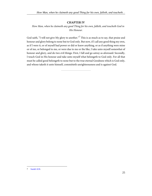## **CHAPTER IV**

## <span id="page-31-0"></span>How Man, when he claimeth any good Thing for his own, falleth, and toucheth God in His Honour.

God saith, "I will not give My glory to another."<sup>7</sup> This is as much as to say, that praise and honour and glory belong to none but to God only. But now, if I call any good thing my own, as if I were it, or of myself had power or did or knew anything, or as if anything were mine or of me, or belonged to me, or were due to me or the like, I take unto myself somewhat of honour and glory, and do two evil things: First, I fall and go astray as aforesaid: Secondly, I touch God in His honour and take unto myself what belongeth to God only. For all that must be called good belongeth to none but to the true eternal Goodness which is God only, and whoso taketh it unto himself, committeth unrighteousness and is against God.

<sup>7</sup> [Isaiah 42:8.](http://www.ccel.org/study/Bible:Isa.42.8)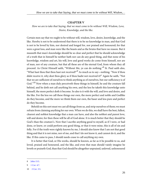#### **CHAPTER V**

<span id="page-32-0"></span>How we are to take that Saying, that we must come to be without Will, Wisdom, Love, Desire, Knowledge, and the like.

Certain men say that we ought to be without will, wisdom, love, desire, knowledge, and the like. Hereby is not to be understood that there is to be no knowledge in man, and that God is not to be loved by him, nor desired and longed for, nor praised and honoured; for that were a great loss, and man were like the beasts and as the brutes that have no reason. But it meaneth that man's knowledge should be so clear and perfect that he should acknowledge of a truth that in himself he neither hath nor can do any good thing, and that none of his knowledge, wisdom and art, his will, love and good works do come from himself, nor are of man, nor of any creature, but that all these are of the eternal God, from whom they all proceed. As Christ Himself saith, "Without Me, ye can do nothing."<sup>8</sup> St. Paul saith also, "What hast thou that thou hast not received?"<sup>9</sup> As much as to say—nothing. "Now if thou didst receive it, why dost thou glory as if thou hadst not received it?" Again he saith, "Not that we are sufficient of ourselves to think anything as of ourselves, but our sufficiency is of God."<sup>10</sup> Now when a man duly perceiveth these things in himself, he and the creature fall behind, and he doth not call anything his own, and the less he taketh this knowledge unto himself, the more perfect doth it become. So also is it with the will, and love and desire, and the like. For the less we call these things our own, the more perfect and noble and Godlike do they become, and the more we think them our own, the baser and less pure and perfect do they become.

Behold on this sort must we cast all things from us, and strip ourselves of them; we must refrain from claiming anything for our own. When we do this, we shall have the best, fullest, clearest and noblest knowledge that a man can have, and also the noblest and purest love, will and desire; for then these will be all of God alone. It is much better that they should be God's than the creature's. Now that I ascribe anything good to myself, as if I were, or had done, or knew, or could perform any good thing, or that it were mine, this is all of sin and folly. For if the truth were rightly known by me, I should also know that I am not that good thing and that it is not mine, nor of me, and that I do not know it, and cannot do it, and the like. If this came to pass, I should needs cease to call anything my own.

It is better that God, or His works, should be known, as far as it be possible to us, and loved, praised and honoured, and the like, and even that man should vainly imagine he loveth or praiseth God, than that God should be altogether unpraised, unloved, unhonoured

<sup>8</sup> [John 15:5.](http://www.ccel.org/study/Bible:John.15.5)

<sup>9</sup> [1 Cor. 4:7](http://www.ccel.org/study/Bible:1Cor.4.7).

<sup>10</sup> [2 Cor. 3:5.](http://www.ccel.org/study/Bible:2Cor.3.5)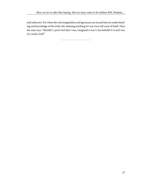and unknown. For when the vain imagination and ignorance are turned into an understanding and knowledge of the truth, the claiming anything for our own will cease of itself. Then the man says: "Behold! I, poor fool that I was, imagined it was I, but behold! it is and was, of a truth, God!"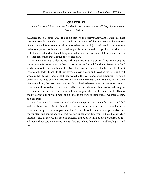#### **CHAPTER VI**

<span id="page-34-0"></span>How that which is best and noblest should also be loved above all Things by us, merely because it is the best.

A Master called Boetius saith, "It is of sin that we do not love that which is Best." He hath spoken the truth. That which is best should be the dearest of all things to us; and in our love of it, neither helpfulness nor unhelpfulness, advantage nor injury, gain nor loss, honour nor dishonour, praise nor blame, nor anything of the kind should be regarded; but what is in truth the noblest and best of all things, should be also the dearest of all things, and that for no other cause than that it is the noblest and best.

Hereby may a man order his life within and without. His outward life: for among the creatures one is better than another, according as the Eternal Good manifesteth itself and worketh more in one than in another. Now that creature in which the Eternal Good most manifesteth itself, shineth forth, worketh, is most known and loved, is the best, and that wherein the Eternal Good is least manifested is the least good of all creatures. Therefore when we have to do with the creatures and hold converse with them, and take note of their diverse qualities, the best creatures must always be the dearest to us, and we must cleave to them, and unite ourselves to them, above all to those which we attribute to God as belonging to Him or divine, such as wisdom, truth, kindness, peace, love, justice, and the like. Hereby shall we order our outward man, and all that is contrary to these virtues we must eschew and flee from.

But if our inward man were to make a leap and spring into the Perfect, we should find and taste how that the Perfect is without measure, number or end, better and nobler than all which is imperfect and in part, and the Eternal above the temporal or perishable, and the fountain and source above all that floweth or can ever flow from it. Thus that which is imperfect and in part would become tasteless and be as nothing to us. Be assured of this: All that we have said must come to pass if we are to love that which is noblest, highest and best.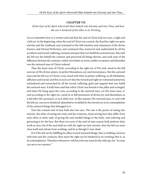#### **CHAPTER VII**

<span id="page-35-0"></span>Of the Eyes of the Spirit wherewith Man looketh into Eternity and into Time, and how the one is hindered of the other in its Working.

Let us remember how it is written and said that the soul of Christ had two eyes, a right and a left eye. In the beginning, when the soul of Christ was created, she fixed her right eye upon eternity and the Godhead, and remained in the full intuition and enjoyment of the divine Essence and Eternal Perfection; and continued thus unmoved and undisturbed by all the accidents and travail, suffering, torment and pain that ever befell the outward man. But with the left eye she beheld the creature and perceived all things therein, and took note of the difference between the creatures, which were better or worse, nobler or meaner; and thereafter was the outward man of Christ ordered.

Thus the inner man of Christ, according to the right eye of His soul, stood in the full exercise of His divine nature, in perfect blessedness, joy and eternal peace. But the outward man and the left eye of Christ's soul, stood with Him in perfect suffering, in all tribulation, affliction and travail; and this in such sort that the inward and right eye remained unmoved, unhindered and untouched by all the travail, suffering, grief and anguish that ever befell the outward man. It hath been said that when Christ was bound to the pillar and scourged, and when He hung upon the cross, according to the outward man, yet His inner man, or soul according to the right eye, stood in as full possession of divine joy and blessedness as it did after His ascension, or as it doth now. In like manner His outward man, or soul with the left eye, was never hindered, disturbed or troubled by the inward eye in its contemplation of the outward things that belonged to it.

Now the created soul of man hath also two eyes. The one is the power of seeing into eternity, the other of seeing into time and the creatures, of perceiving how they differ from each other as afore-said, of giving life and needful things to the body, and ordering and governing it for the best. But these two eyes of the soul of man cannot both perform their work at once; but if the soul shall see with the right eye into eternity, then the left eye must close itself and refrain from working, and be as though it were dead.

For if the left eye be fulfilling its office toward outward things; that is, holding converse with time and the creatures; then must the right eye be hindered in its working; that is, in its contemplation. Therefore whosoever will have the one must let the other go; for "no man can serve two masters."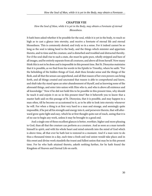#### **CHAPTER VIII**

How the Soul of Man, while it is yet in the Body, may obtain a Foretaste of eternal Blessedness.

It hath been asked whether it be possible for the soul, while it is yet in the body, to reach so high as to cast a glance into eternity, and receive a foretaste of eternal life and eternal blessedness. This is commonly denied; and truly so in a sense. For it indeed cannot be so long as the soul is taking heed to the body, and the things which minister and appertain thereto, and to time and the creature, and is disturbed and troubled and distracted thereby. For if the soul shall rise to such a state, she must be quite pure, wholly stripped and bare of all images, and be entirely separate from all creatures, and above all from herself. Now many think this is not to be done and is impossible in this present time. But St. Dionysius maintains that it is possible, as we find from his words in his Epistle to Timothy, where he saith: "For the beholding of the hidden things of God, shalt thou forsake sense and the things of the flesh, and all that the senses can apprehend, and all that reason of her own powers can bring forth, and all things created and uncreated that reason is able to comprehend and know, and shalt take thy stand upon an utter abandonment of thyself, and as knowing none of the aforesaid things, and enter into union with Him who is, and who is above all existence and all knowledge." Now if he did not hold this to be possible in this present time, why should he teach it and enjoin it on us in this present time? But it behoveth you to know that a master hath said on this passage of St. Dionysius, that it is possible, and may happen to a man often, till he become so accustomed to it, as to be able to look into eternity whenever he will. For when a thing is at first very hard to a man and strange, and seemingly quite impossible, if he put all his strength and energy into it, and persevere therein, that will afterward grow quite light and easy, which he at first thought quite out of reach, seeing that it is of no use to begin any work, unless it may be brought to a good end.

And a single one of these excellent glances is better, worthier, higher and more pleasing to God, than all that the creature can perform as a creature. And as soon as a man turneth himself in spirit, and with his whole heart and mind entereth into the mind of God which is above time, all that ever he hath lost is restored in a moment. And if a man were to do thus a thousand times in a day, each time a fresh and real union would take place; and in this sweet and divine work standeth the truest and fullest union that may be in this present time. For he who hath attained thereto, asketh nothing further, for he hath found the Kingdom of Heaven and Eternal Life on earth.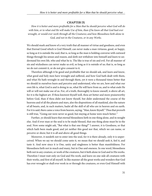#### **CHAPTER IX**

How it is better and more profitable for a Man that he should perceive what God will do with him, or to what end He will make Use of him, than if he knew all that God had ever wrought, or would ever work through all the Creatures; and how Blessedness lieth alone in God, and not in the Creatures, or in any Works.

We should mark and know of a very truth that all manner of virtue and goodness, and even that Eternal Good which is God Himself, can never make a man virtuous, good, or happy, so long as it is outside the soul; that is, so long as the man is holding converse with outward things through his senses and reason, and doth not withdraw into himself and learn to understand his own life, who and what he is. The like is true of sin and evil. For all manner of sin and wickedness can never make us evil, so long as it is outside of us; that is, so long as we do not commit it, or do not give consent to it.

Therefore although it be good and profitable that we should ask, and learn and know, what good and holy men have wrought and suffered, and how God hath dealt with them, and what He hath wrought in and through them, yet it were a thousand times better that we should in ourselves learn and perceive and understand, who we are, how and what our own life is, what God is and is doing in us, what He will have from us, and to what ends He will or will not make use of us. For, of a truth, thoroughly to know oneself, is above all art, for it is the highest art. If thou knowest thyself well, thou art better and more praiseworthy before God, than if thou didst not know thyself, but didst understand the course of the heavens and of all the planets and stars, also the dispositions of all mankind, also the nature of all beasts, and, in such matters, hadst all the skill of all who are in heaven and on earth. For it is said, there came a voice from heaven, saying, "Man, know thyself." Thus that proverb is still true, "Going out were never so good, but staying at home were much better."

Further, ye should learn that eternal blessedness lieth in one thing alone, and in nought else. And if ever man or the soul is to be made blessed, that one thing alone must be in the soul. Now some might ask, "But what is that one thing?" I answer, it is Goodness, or that which hath been made good; and yet neither this good nor that, which we can name, or perceive or show; but it is all and above all good things.

Moreover, it needeth not to enter into the soul, for it is there already, only it is unperceived. When we say we should come unto it, we mean that we should seek it, feel it, and taste it. And now since it is One, unity and singleness is better than manifoldness. For blessedness lieth not in much and many, but in One and oneness. In one word, blessedness lieth not in any creature, or work of the creatures, but it lieth alone in God and in His works. Therefore I must wait only on God and His work, and leave on one side all creatures with their works, and first of all myself. In like manner all the great works and wonders that God has ever wrought or shall ever work in or through the creatures, or even God Himself with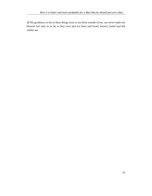all His goodness, so far as these things exist or are done outside of me, can never make me blessed, but only in so far as they exist and are done and loved, known, tasted and felt within me.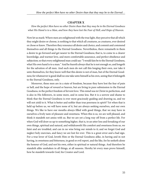## **CHAPTER X**

How the perfect Men have no other Desire than that they may be to the Eternal Goodness what His Hand is to a Man, and how they have lost the Fear of Hell, and Hope of Heaven.

Now let us mark: Where men are enlightened with the true light, they perceive that all which they might desire or choose, is nothing to that which all creatures, as creatures, ever desired or chose or knew. Therefore they renounce all desire and choice, and commit and commend themselves and all things to the Eternal Goodness. Nevertheless, there remaineth in them a desire to go forward and get nearer to the Eternal Goodness; that is, to come to a clearer knowledge, and warmer love, and more comfortable assurance, and perfect obedience and subjection; so that every enlightened man could say: "I would fain be to the Eternal Goodness, what His own hand is to a man." And he feareth always that he is not enough so, and longeth for the salvation of all men. And such men do not call this longing their own, nor take it unto themselves, for they know well that this desire is not of man, but of the Eternal Goodness; for whatsoever is good shall no one take unto himself as his own, seeing that it belongeth to the Eternal Goodness, only.

Moreover, these men are in a state of freedom, because they have lost the fear of pain or hell, and the hope of reward or heaven, but are living in pure submission to the Eternal Goodness, in the perfect freedom of fervent love. This mind was in Christ in perfection, and is also in His followers, in some more, and in some less. But it is a sorrow and shame to think that the Eternal Goodness is ever most graciously guiding and drawing us, and we will not yield to it. What is better and nobler than true poorness in spirit? Yet when that is held up before us, we will have none of it, but are always seeking ourselves, and our own things. We like to have our mouths always filled with good things, that we may have in ourselves a lively taste of pleasure and sweetness. When this is so, we are well pleased, and think it standeth not amiss with us. But we are yet a long way off from a perfect life. For when God will draw us up to something higher, that is, to an utter loss and forsaking of our own things, spiritual and natural, and withdraweth His comfort and sweetness from us, we faint and are troubled, and can in no wise bring our minds to it; and we forget God and neglect holy exercises, and fancy we are lost for ever. This is a great error and a bad sign. For a true lover of God, loveth Him or the Eternal Goodness alike, in having and in not having, in sweetness and bitterness, in good or evil report, and the like, for he seeketh alone the honour of God, and not his own, either in spiritual or natural things. And therefore he standeth alike unshaken in all things, at all seasons. Hereby let every man prove himself, how he standeth towards God, his Creator and Lord.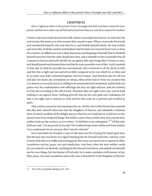### **CHAPTER XI**

How a righteous Man in this present Time is brought into hell, and there cannot be comforted, and how he is taken out of Hell and carried into Heaven, and there cannot be troubled.

Christ's soul must needs descend into hell, before it ascended into heaven. So must also the soul of man. But mark ye in what manner this cometh to pass. When a man truly Perceiveth and considereth himself, who and what he is, and findeth himself utterly vile and wicked, and unworthy of all the comfort and kindness that he hath ever received from God, or from the creatures, he falleth into such a deep abasement and despising of himself, that he thinketh himself unworthy that the earth should bear him, and it seemeth to him reasonable that all creatures in heaven and earth should rise up against him and avenge their Creator on him, and should punish and torment him; and that he were unworthy even of that. And it seemeth to him that he shall be eternally lost and damned, and a footstool to all the devils in hell, and that this is right and just and all too little compared to his sins which he so often and in so many ways hath committed against God his Creator. And therefore also he will not and dare not desire any consolation or release, either from God or from any creature that is in heaven or on earth; but he is willing to be unconsoled and unreleased, and he doth not grieve over his condemnation and sufferings; for they are right and just, and not contrary to God, but according to the will of God. Therefore they are right in his eyes, and he hath nothing to say against them. Nothing grieveth him but his own guilt and wickedness; for that is not right and is contrary to God, and for that cause he is grieved and troubled in spirit.

This is what is meant by true repentance for sin. And he who in this Present time entereth into this hell, entereth afterward into the Kingdom of Heaven, and obtaineth a foretaste there of which excelleth all the delight and joy which he ever hath had or could have in this present time from temporal things. But whilst a man is thus in hell, none may console him, neither God nor the creature, as it is written, "In hell there is no redemption."<sup>11</sup> Of this state hath one said, "Let me perish, let me die! I live without hope; from within and from without I am condemned, let no one pray that I may be released."

Now God hath not forsaken a man in this hell, but He is laying His hand upon him, that the man may not desire nor regard anything but the Eternal Good only, and may come to know that that is so noble and passing good, that none can search out or express its bliss, consolation and joy, peace, rest and satisfaction. And then, when the man neither careth for, nor seeketh, nor desireth, anything but the Eternal Good alone, and seeketh not himself, nor his own things, but the honour of God only, he is made a partaker of all manner of joy, bliss, peace, rest and consolation, and so the man is henceforth in the Kingdom of Heaven.

<sup>11</sup> The writer is probably alluding to [Ps. 49:8](http://www.ccel.org/study/Bible:Ps.49.8).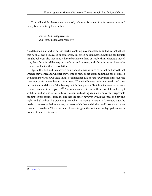This hell and this heaven are two good, safe ways for a man in this present time, and happy is he who truly findeth them.

> For this hell shall pass away, But Heaven shall endure for aye.

Also let a man mark, when he is in this hell, nothing may console him; and he cannot believe that he shall ever be released or comforted. But when he is in heaven, nothing can trouble him; he believeth also that none will ever be able to offend or trouble him, albeit it is indeed true, that after this hell he may be comforted and released, and after this heaven he may be troubled and left without consolation.

Again: this hell and this heaven come about a man in such sort, that he knoweth not whence they come; and whether they come to him, or depart from him, he can of himself do nothing towards it. Of these things he can neither give nor take away from himself, bring them nor banish them, but as it is written, "The wind bloweth where it listeth, and thou hearest the sound thereof," that is to say, at this time present, "but thou knowest not whence it cometh, nor whither it goeth."<sup>12</sup> And when a man is in one of these two states, all is right with him, and he is as safe in hell as in heaven, and so long as a man is on earth, it is possible for him to pass ofttimes from the one into the other; nay even within the space of a day and night, and all without his own doing. But when the man is in neither of these two states he holdeth converse with the creature, and wavereth hither and thither, and knoweth not what manner of man he is. Therefore he shall never forget either of them, but lay up the remembrance of them in his heart.

<sup>12</sup> [John 3:8.](http://www.ccel.org/study/Bible:John.3.8)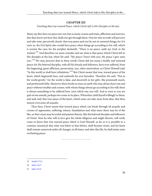#### **CHAPTER XII**

Touching that true inward Peace, which Christ left to His Disciples at the last.

Many say they have no peace nor rest, but so many crosses and trials, afflictions and sorrows, that they know not how they shall ever get through them. Now he who in truth will perceive and take note, perceiveth clearly, that true peace and rest lie not in outward things; for if it were so, the Evil Spirit also would have peace when things go according to his will, which is nowise the case; for the prophet declareth, "There is no peace, saith my God, to the wicked."<sup>13</sup> And therefore we must consider and see what is that peace which Christ left to His disciples at the last, when He said: "My peace I leave with you, My peace I give unto you."<sup>14</sup> We may perceive that in these words Christ did not mean a bodily and outward peace; for His beloved disciples, with all His friends and followers, have ever suffered, from the beginning, great affliction, persecution, nay, often martyrdom, as Christ Himself said: "In this world ye shall have tribulation."<sup>15</sup> But Christ meant that true, inward peace of the heart, which beginneth here, and endureth for ever hereafter. Therefore He said: "Not as the world giveth," for the world is false, and deceiveth in her gifts. She promiseth much, and performeth little. Moreover there liveth no man on earth who may always have rest and peace without troubles and crosses, with whom things always go according to his will; there is always something to be suffered here, turn which way you will. And as soon as you are quit of one assault, perhaps two come in its place. Wherefore yield thyself willingly to them, and seek only that true peace of the heart, which none can take away from thee, that thou mayest overcome all assaults.

Thus then, Christ meant that inward peace which can break through all assaults and crosses of oppression, suffering, misery, humiliation and what more there may be of the like, so that a man may be joyful and patient therein, like the beloved disciples and followers of Christ. Now he who will in love give his whole diligence and might thereto, will verily come to know that true eternal peace which is God Himself, as far as it is possible to a creature; insomuch that what was bitter to him before, shall become sweet, and his heart shall remain unmoved under all changes, at all times, and after this life, he shall attain unto everlasting peace.

<sup>13</sup> [Isaiah 57:21.](http://www.ccel.org/study/Bible:Isa.57.21)

<sup>14</sup> [John 14:27](http://www.ccel.org/study/Bible:John.14.27).

<sup>15</sup> [John 16:33](http://www.ccel.org/study/Bible:John.16.33).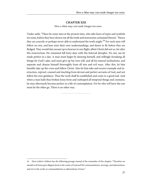#### **CHAPTER XIII**

How a Man may cast aside Images too soon.

Tauler saith: "There be some men at the present time, who take leave of types and symbols too soon, before they have drawn out all the truth and instruction contained therein." Hence they are scarcely or perhaps never able to understand the truth aright.<sup>16</sup> For such men will follow no one, and lean unto their own understandings, and desire to fly before they are fledged. They would fain mount up to heaven in one flight; albeit Christ did not so, for after His resurrection, He remained full forty days with His beloved disciples. No one can be made perfect in a day. A man must begin by denying himself, and willingly forsaking all things for God's sake, and must give up his own will, and all his natural inclinations, and separate and cleanse himself thoroughly from all sins and evil ways. After this, let him humbly take up the cross and follow Christ. Also let him take and receive example and instruction, reproof, counsel and teaching from devout and perfect servants of God, and not follow his own guidance. Thus the work shall be established and come to a good end. And when a man hath thus broken loose from and outleaped all temporal things and creatures, he may afterwards become perfect in a life of contemplation. For he who will have the one must let the other go. There is no other way.

<sup>16</sup> Here Luther's Edition has the following passage instead of the remainder of this chapter: "Therefore we should at all times give diligent heed to the works of God and His commandments, movings, and admonitions, and not to the works or commandments or admonitions of men."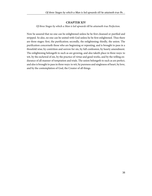## **CHAPTER XIV**

Of three Stages by which a Man is led upwards till he attaineth true Perfection.

Now be assured that no one can be enlightened unless he be first cleansed or purified and stripped. So also, no one can be united with God unless he be first enlightened. Thus there are three stages: first, the purification; secondly, the enlightening; thirdly, the union. The purification concerneth those who are beginning or repenting, and is brought to pass in a threefold wise; by contrition and sorrow for sin, by full confession, by hearty amendment. The enlightening belongeth to such as are growing, and also taketh place in three ways: to wit, by the eschewal of sin, by the practice of virtue and good works, and by the willing endurance of all manner of temptation and trials. The union belongeth to such as are perfect, and also is brought to pass in three ways: to wit, by pureness and singleness of heart, by love, and by the contemplation of God, the Creator of all things.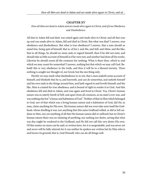#### **CHAPTER XV**

## How all Men are dead in Adam and are made alive again in Christ, and of true Obedience and Disobedience.

All that in Adam fell and died, was raised again and made alive in Christ, and all that rose up and was made alive in Adam, fell and died in Christ. But what was that? I answer, true obedience and disobedience. But what is true obedience? I answer, that a man should so stand free, being quit of himself, that is, of his I, and Me, and Self, and Mine, and the like, that in all things, he should no more seek or regard himself, than if he did not exist, and should take as little account of himself as if he were not, and another had done all his works. Likewise he should count all the creatures for nothing. What is there then, which is, and which we may count for somewhat? I answer, nothing but that which we may call God. Behold! this is very obedience in the truth, and thus it will be in a blessed eternity. There nothing is sought nor thought of, nor loved, but the one thing only.

Hereby we may mark what disobedience is: to wit, that a man maketh some account of himself, and thinketh that he is, and knoweth, and can do somewhat, and seeketh himself and his own ends in the things around him, and hath regard to and loveth himself, and the like. Man is created for true obedience, and is bound of right to render it to God. And this obedience fell and died in Adam, and rose again and lived in Christ. Yea, Christ's human nature was so utterly bereft of Self, and apart from all creatures, as no man's ever was, and was nothing else but "a house and habitation of God." Neither of that in Him which belonged to God, nor of that which was a living human nature and a habitation of God, did He, as man, claim anything for His own. His human nature did not even take unto itself the Godhead, whose dwelling it was, nor anything that this same Godhead willed, or did or left undone in Him, nor yet anything of all that His human nature did or suffered; but in Christ's human nature there was no claiming of anything, nor seeking nor desire, saving that what was due might be rendered to the Godhead, and He did not call this very desire His own. Of this matter no more can be said, or written here, for it is unspeakable, and was never yet and never will be fully uttered; for it can neither be spoken nor written but by Him who is and knows its ground; that is, God Himself, who can do all things well.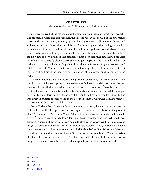#### **CHAPTER XVI**

Telleth us what is the old Man, and what is the new Man.

Again, when we read of the old man and the new man we must mark what that meaneth. The old man is Adam and disobedience, the Self, the Me, and so forth. But the new man is Christ and true obedience, a giving up and denying oneself of all temporal things, and seeking the honour of God alone in all things. And when dying and perishing and the like are spoken of, it meaneth that the old man should be destroyed, and not seek its own either in spiritual or in natural things. For where this is brought about in a true divine light, there the new man is born again. In like manner, it hath been said that man should die unto himself, that is, to earthly pleasures, consolations, joys, appetites, the I, the Self, and all that is thereof in man, to which he clingeth and on which he is yet leaning with content, and thinketh much of. Whether it be the man himself, or any other creature, whatever it be, it must depart and die, if the man is to be brought aright to another mind, according to the truth.

Thereunto doth St. Paul exhort us, saying: "Put off concerning the former conversation the old man, which is corrupt according to the deceitful lusts: . . . and that ye put on the new man, which after God is created in righteousness and true holiness."<sup>17</sup> Now he who liveth to himself after the old man, is called and is truly a child of Adam; and though he may give diligence to the ordering of his life, he is still the child and brother of the Evil Spirit. But he who liveth in humble obedience and in the new man which is Christ, he is, in like manner, the brother of Christ and the child of God.

Behold! where the old man dieth and the new man is born, there is that second birth of which Christ saith, "Except a man be born again, he cannot enter into the kingdom of God."<sup>18</sup> Likewise St. Paul saith, "As in Adam all die, even so in Christ shall all be made alive."<sup>19</sup> That is to say, all who follow Adam in pride, in lust of the flesh, and in disobedience, are dead in soul, and never will or can be made alive but in Christ. And for this cause, so long as a man is an Adam or his child, he is without God. Christ saith, "He who is not with Me is against Me.<sup>"20</sup> Now he who is against God, is dead before God. Whence it followeth that all Adam's children are dead before God. But he who standeth with Christ in perfect obedience, he is with God and liveth. As it hath been said already, sin lieth in the turning away of the creature from the Creator, which agreeth with what we have now said.

<sup>17</sup> [Eph. 4:22, 24](http://www.ccel.org/study/Bible:Eph.4.22 Bible:Eph.4.24).

<sup>18</sup> [John 3:3.](http://www.ccel.org/study/Bible:John.3.3)

<sup>19</sup> [1 Cor. 15:22](http://www.ccel.org/study/Bible:1Cor.15.22).

<sup>20</sup> [Matt. 12:30.](http://www.ccel.org/study/Bible:Matt.12.30)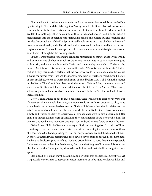For he who is in disobedience is in sin, and sin can never be atoned for or healed but by returning to God, and this is brought to Pass by humble obedience. For so long as a man continueth in disobedience, his sin can never be blotted out; let him do what he will, it availeth him nothing. Let us be assured of this. For disobedience is itself sin. But when a man entereth into the obedience of the faith, all is healed, and blotted out and forgiven, and not else. Insomuch that if the Evil Spirit himself could come into true obedience, he would become an angel again, and all his sin and wickedness would be healed and blotted out and forgiven at once. And could an angel fall into disobedience, he would straightway become an evil spirit although he did nothing afresh.

If then it were possible for a man to renounce himself and all things, and to live as wholly and purely in true obedience, as Christ did in His human nature, such a man were quite without sin, and were one thing with Christ, and the same by grace which Christ was by nature. But it is said this cannot be. So also it is said: "There is none without sin." But be that as it may, this much is certain; that the nearer we are to perfect obedience, the less we sin, and the farther from it we are, the more we sin. In brief: whether a man be good, better, or best of all; bad, worse, or worst of all; sinful or saved before God; it all lieth in this matter of obedience. Therefore it hath been said: the more of Self and Me, the more of sin and wickedness. So likewise it hath been said: the more the Self, the I, the Me, the Mine, that is, self-seeking and selfishness, abate in a man, the more doth God's I, that is, God Himself, increase in him.

Now, if all mankind abode in true obedience, there would be no grief nor sorrow. For if it were so, all men would be at one, and none would vex or harm another; so also, none would lead a life or do any deed contrary to God's will. Whence then should grief or sorrow arise? But now alas! all men, nay the whole world lieth in disobedience! Now were a man simply and wholly obedient as Christ was, all disobedience were to him a sharp and bitter pain. But though all men were against him, they could neither shake nor trouble him, for while in this obedience a man were one with God, and God Himself were one with the man.

Behold now all disobedience is contrary to God, and nothing else. In truth, no Thing is contrary to God; no creature nor creature's work, nor anything that we can name or think of is contrary to God or displeasing to Him, but only disobedience and the disobedient man. In short, all that is, is well-pleasing and good in God's eyes, saving only the disobedient man. But he is so displeasing and hateful to God and grieveth Him so sore, that if it were possible for human nature to die a hundred deaths, God would willingly suffer them all for one disobedient man, that He might slay disobedience in him, and that obedience might be born again.

Behold! albeit no man may be so single and perfect in this obedience as Christ was, yet it is possible to every man to approach so near thereunto as to be rightly called Godlike, and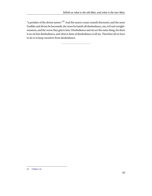"a partaker of the divine nature." $^{21}$  And the nearer a man cometh thereunto, and the more Godlike and divine he becometh, the more he hateth all disobedience, sin, evil and unrighteousness, and the worse they grieve him. Disobedience and sin are the same thing, for there is no sin but disobedience, and what is done of disobedience is all sin. Therefore all we have to do is to keep ourselves from disobedience.

<sup>21</sup> [2 Peter 1:4.](http://www.ccel.org/study/Bible:2Pet.1.4)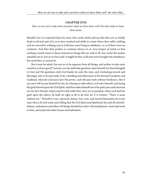#### **CHAPTER XVII**

## How we are not to take unto ourselves what we have done well: but only what we have done amiss.

Behold! now it is reported there be some who vainly think and say that they are so wholly dead to self and quit of it, as to have reached and abide in a state where they suffer nothing and are moved by nothing, just as if all men were living in obedience, or as if there were no creatures. And thus they profess to continue always in an even temper of mind, so that nothing cometh amiss to them, howsoever things fall out, well or ill. Nay verily! the matter standeth not so, but as we have said. It might be thus, if all men were brought into obedience; but until then, it cannot be.

But it may be asked: Are not we to be separate from all things, and neither to take unto ourselves evil nor good? I answer, no one shall take goodness unto himself, for that belongeth to God and His goodness only; but thanks be unto the man, and everlasting reward and blessings, who is fit and ready to be a dwelling and tabernacle of the Eternal Goodness and Godhead, wherein God may exert His power, and will and work without hindrance. But if any now will excuse himself for sin, by refusing to take what is evil unto himself, and laying the guilt thereof upon the Evil Spirit, and thus make himself out to be quite pure and innocent (as our first Parents Adam and Eve did while they were yet in paradise; when each laid the guilt upon the other), he hath no right at all to do this; for it is written, "There is none without sin." Therefore I say; reproach, shame, loss, woe, and eternal damnation be to the man who is fit and ready and willing that the Evil Spirit and falsehood, lies and all untruthfulness, wickedness and other evil things should have their will and pleasure, word and work in him, and make him their house and habitation.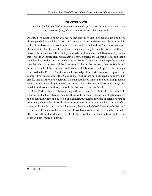## **CHAPTER XVIII**

How that the Life of Christ is the noblest and best Life that ever hath been or can be, and how a careless Life of false Freedom is the worst Life that can be.

Of a truth we ought to know and believe that there is no life so noble and good and well pleasing to God, as the life of Christ, and yet it is to nature and selfishness the bitterest life. A life of carelessness and freedom is to nature and the Self and the Me, the sweetest and pleasantest life, but it is not the best; and in some men may become the worst. But though Christ's life be the most bitter of all, yet it is to be preferred above all. Hereby shall ye mark this: There is an inward sight which hath power to perceive the One true Good, and that it is neither this nor that, but that of which St. Paul saith; "When that which is perfect is come, then that which is in part shall be done away. $^{22}$  By this he meaneth, that the Whole and Perfect excelleth all the fragments, and that all which is in part and imperfect, is as nought compared to the Perfect. Thus likewise all knowledge of the parts is swallowed up when the Whole is known; and where that Good is known, it cannot but be longed for and loved so greatly, that all other love wherewith the man hath loved himself and other things, fadeth away. And that inward sight likewise perceiveth what is best and noblest in all things, and loveth it in the one true Good, and only for the sake of that true Good.

Behold! where there is this inward sight, the man perceiveth of a truth, that Christ's life is the best and noblest life, and therefore the most to be preferred, and he willingly accepteth and endureth it, without a question or a complaint, whether it please or offend nature or other men, whether he like or dislike it, find it sweet or bitter and the like. And therefore wherever this Perfect and true Good is known, there also the life of Christ must be led, until the death of the body. And he who vainly thinketh otherwise is deceived, and he who saith otherwise, lieth, and in what man the life of Christ is not, of him the true Good and eternal Truth will nevermore be known.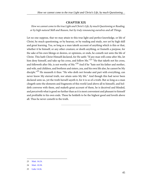## **CHAPTER XIX**

How we cannot come to the true Light and Christ's Life, by much Questioning or Reading, or by high natural Skill and Reason, but by truly renouncing ourselves and all Things.

Let no one suppose, that we may attain to this true light and perfect knowledge, or life of Christ, by much questioning, or by hearsay, or by reading and study, nor yet by high skill and great learning. Yea, so long as a man taketh account of anything which is this or that, whether it be himself, or any other creature; or doeth anything, or frameth a purpose, for the sake of his own likings or desires, or opinions, or ends, he cometh not unto the life of Christ. This hath Christ Himself declared, for He saith: "If any man will come after Me, let him deny himself, and take up his cross, and follow Me.<sup>"23</sup> "He that taketh not his cross, and followeth after Me, is not worthy of Me. $^{24}$  And if he "hate not his father and mother, and wife, and children, and brethren and sisters, yea, and his own life also, he cannot be My disciple."<sup>25</sup> He meaneth it thus: "He who doth not forsake and part with everything, can never know My eternal truth, nor attain unto My life." And though this had never been declared unto us, yet the truth herself sayeth it, for it is so of a truth. But so long as a man clingeth unto the elements and fragments of this world (and above all to himself), and holdeth converse with them, and maketh great account of them, he is deceived and blinded, and perceiveth what is good no further than as it is most convenient and pleasant to himself and profitable to his own ends. These he holdeth to be the highest good and loveth above all. Thus he never cometh to the truth.

<sup>23</sup> [Matt. 16:24.](http://www.ccel.org/study/Bible:Matt.16.24)

<sup>24</sup> [Matt. 10:38.](http://www.ccel.org/study/Bible:Matt.10.38)

<sup>25</sup> [Luke 14:26.](http://www.ccel.org/study/Bible:Luke.14.26)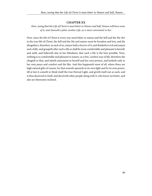## **CHAPTER XX**

# How, seeing that the Life of Christ is most bitter to Nature and Self, Nature will have none of it, and chooseth a false careless Life, as is most convenient to her.

Now, since the life of Christ is every way most bitter to nature and the Self and the Me (for in the true life of Christ, the Self and the Me and nature must be forsaken and lost, and die altogether), therefore, in each of us, nature hath a horror of it, and thinketh it evil and unjust and a folly, and graspeth after such a life as shall be most comfortable and pleasant to herself, and saith, and believeth also in her blindness, that such a life is the best possible. Now, nothing is so comfortable and pleasant to nature, as a free, careless way of life, therefore she clingeth to that, and taketh enjoyment in herself and her own powers, and looketh only to her own peace and comfort and the like. And this happeneth most of all, where there are high natural gifts of reason, for that soareth upwards in its own light and by its own power, till at last it cometh to think itself the true Eternal Light, and giveth itself out as such, and is thus deceived in itself, and deceiveth other people along with it, who know no better, and also are thereunto inclined.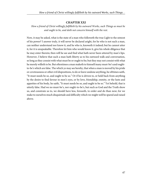## **CHAPTER XXI**

How a friend of Christ willingly fulfilleth by his outward Works, such Things as must be and ought to be, and doth not concern himself with the rest.

Now, it may be asked, what is the state of a man who followeth the true Light to the utmost of his power? I answer truly, it will never be declared aright, for he who is not such a man, can neither understand nor know it, and he who is, knoweth it indeed; but he cannot utter it, for it is unspeakable. Therefore let him who would know it, give his whole diligence that he may enter therein; then will he see and find what hath never been uttered by man's lips. However, I believe that such a man hath liberty as to his outward walk and conversation, so long as they consist with what must be or ought to be; but they may not consist with what he merely willeth to be. But oftentimes a man maketh to himself many must-be's and oughtto-be's which are false. The which ye may see hereby, that when a man is moved by his pride or covetousness or other evil dispositions, to do or leave undone anything, he ofttimes saith, "It must needs be so, and ought to be so." Or if he is driven to, or held back from anything by the desire to find favour in men's eyes, or by love, friendship, enmity, or the lusts and appetites of his body, he saith, "It must needs be so, and ought to be so." Yet behold, that is utterly false. Had we no must-be's, nor ought-to-be's, but such as God and the Truth show us, and constrain us to, we should have less, forsooth, to order and do than now; for we make to ourselves much disquietude and difficulty which we might well be spared and raised above.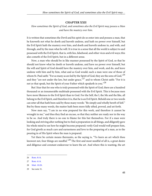#### **CHAPTER XXII**

How sometimes the Spirit of God, and sometimes also the Evil Spirit may possess a Man and have the mastery over him.

It is written that sometimes the Devil and his spirit do so enter into and possess a man, that he knoweth not what he doeth and leaveth undone, and hath no power over himself, but the Evil Spirit hath the mastery over him, and doeth and leaveth undone in, and with, and through, and by the man what he will. It is true in a sense that all the world is subject to and possessed with the Evil Spirit, that is, with lies, falsehood, and other vices and evil ways; this also cometh of the Evil Spirit, but in a different sense.

Now, a man who should be in like manner possessed by the Spirit of God, so that he should not know what he doeth or leaveth undone, and have no power over himself, but the will and Spirit of God should have the mastery over him, and work, and do, and leave undone with him and by him, what and as God would; such a man were one of those of whom St. Paul saith: "For as many as are led by the Spirit of God, they are the sons of God," $^{26}$ and they "are not under the law, but under grace," $27$  and to whom Christ saith: "For it is not ye that speak, but the Spirit of your Father which speaketh in you."<sup>28</sup>

But I fear that for one who is truly possessed with the Spirit of God, there are a hundred thousand or an innumerable multitude possessed with the Evil Spirit. This is because men have more likeness to the Evil Spirit than to God. For the Self, the I, the Me and the like, all belong to the Evil Spirit, and therefore it is, that he is an Evil Spirit. Behold one or two words can utter all that hath been said by these many words: "Be simply and wholly bereft of Self." But by these many words, the matter hath been more fully sifted, proved, and set forth.

Now men say, "I am in no wise prepared for this work, and therefore it cannot be wrought in me," and thus they find an excuse, so that they neither are ready nor in the way to be so. And truly there is no one to blame for this but themselves. For if a man were looking and striving after nothing but to find a preparation in all things, and diligently gave his whole mind to see how he might become prepared; verily God would well prepare him, for God giveth as much care and earnestness and love to the preparing of a man, as to the pouring in of His Spirit when the man is prepared.

Yet there be certain means thereunto, as the saying is, "To learn an art which thou knowest not, four things are needful."<sup>29</sup> The first and most needful of all is, a great desire and diligence and constant endeavour to learn the art. And where this is wanting, the art

<sup>26</sup> [Rom. 8:14](http://www.ccel.org/study/Bible:Rom.8.14).

<sup>27</sup> [Rom. 6:14](http://www.ccel.org/study/Bible:Rom.6.14).

<sup>28</sup> [Matt. 10:20.](http://www.ccel.org/study/Bible:Matt.10.20)

<sup>29</sup> See note 31.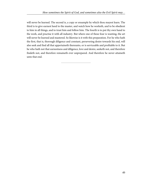will never be learned. The second is, a copy or ensample by which thou mayest learn. The third is to give earnest heed to the master, and watch how he worketh, and to be obedient to him in all things, and to trust him and follow him. The fourth is to put thy own hand to the work, and practise it with all industry. But where one of these four is wanting, the art will never be learned and mastered. So likewise is it with this preparation. For he who hath the first, that is, thorough diligence and constant, persevering desire towards his end, will also seek and find all that appertaineth thereunto, or is serviceable and profitable to it. But he who hath not that earnestness and diligence, love and desire, seeketh not, and therefore findeth not, and therefore remaineth ever unprepared. And therefore he never attaineth unto that end.

49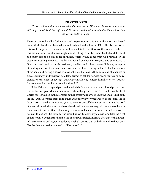#### **CHAPTER XXIII**

He who will submit himself to God and be obedient to Him, must be ready to bear with all Things; to wit, God, himself, and all Creatures, and must be obedient to them all whether he have to suffer or to do.

There be some who talk of other ways and preparations to this end, and say we must lie still under God's hand, and be obedient and resigned and submit to Him. This is true; for all this would be perfected in a man who should attain to the uttermost that can be reached in this present time. But if a man ought and is willing to lie still under God's hand, he must and ought also to be still under all things, whether they come from God himself, or the creatures, nothing excepted. And he who would be obedient, resigned and submissive to God, must and ought to be also resigned, obedient and submissive to all things, in a spirit of yielding, and not of resistance, and take them in silence, resting on the hidden foundations of his soul, and having a secret inward patience, that enableth him to take all chances or crosses willingly, and whatever befalleth, neither to call for nor desire any redress, or deliverance, or resistance, or revenge, but always in a loving, sincere humility to cry, "Father, forgive them, for they know not what they do!"

Behold! this were a good path to that which is Best, and a noble and blessed preparation for the farthest goal which a man may reach in this present time. This is the lovely life of Christ, for He walked in the aforesaid paths perfectly and wholly unto the end of His bodily life on earth. Therefore there is no other and better way or preparation to the joyful life of Jesus Christ, than this same course, and to exercise oneself therein, as much as may be. And of what belongeth thereunto we have already said somewhat; nay, all that we have here or elsewhere said and written, is but a way or means to that end. But what the end is, knoweth no man to declare. But let him who would know it, follow my counsel and take the right path thereunto, which is the humble life of Jesus Christ; let him strive after that with unwearied perseverance, and so, without doubt, he shall come to that end which endureth for ever. "For he that endureth to the end shall be saved."30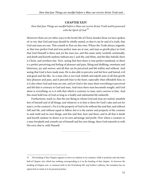## **CHAPTER XXIV**

How that four Things are needful before a Man can receive divine Truth and be possessed with the Spirit of God.<sup>31</sup>

Moreover there are yet other ways to the lovely life of Christ, besides those we have spoken of: to wit, that God and man should be wholly united, so that it can be said of a truth, that God and man are one. This cometh to Pass on this wise. Where the Truth always reigneth, so that true perfect God and true perfect man are at one, and man so giveth place to God, that God Himself is there and yet the man too, and this same unity worketh continually, and doeth and leaveth undone without any I, and Me, and Mine, and the like; behold, there is Christ, and nowhere else. Now, seeing that here there is true perfect manhood, so there is a perfect perceiving and feeling of pleasure and pain, liking and disliking, sweetness and bitterness, joy and sorrow, and all that can be perceived and felt within and without. And seeing that God is here made man, He is also able to perceive and feel love and hatred, evil and good and the like. As a man who is not God, feeleth and taketh note of all that giveth him pleasure and pain, and it pierceth him to the heart, especially what offendeth him; so is it also when God and man are one, and yet God is the man; there everything is perceived and felt that is contrary to God and man. And since there man becometh nought, and God alone is everything, so is it with that which is contrary to man, and a sorrow to him. And this must hold true of God so long as a bodily and substantial life endureth.

Furthermore, mark ye, that the one Being in whom God and man are united, standeth free of himself and of all things, and whatever is in him is there for God's sake and not for man's, or the creature's. For it is the property of God to be without this and that, and without Self and Me, and without equal or fellow; but it is the nature and property of the creature to seek itself and its own things, and this and that, here and there; and in all that it doeth and leaveth undone its desire is to its own advantage and profit. Now where a creature or a man forsaketh and cometh out of himself and his own things, there God entereth in with His own, that is, with Himself.

<sup>31</sup> The heading of this Chapter appears to have no relation to its contents, while it perfectly suits the latter half of Chapter xxii, which has nothing corresponding to it in the heading of that chapter. As however the heading of Chapter xxiv. is common both to the Wurtzburg MS. and Luther's editions, the translator has no option but to retain it in its present position.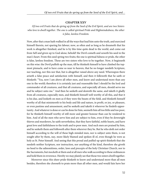#### **CHAPTER XXV**

Of two evil Fruits that do spring up from the Seed of the Evil Spirit, and are two Sisters who love to dwell together. The one is called spiritual Pride and Highmindedness, the other is false, lawless Freedom.

Now, after that a man hath walked in all the ways that lead him unto the truth, and exercised himself therein, not sparing his labour; now, as often and as long as he dreameth that his work is altogether finished, and he is by this time quite dead to the world, and come out from Self and given up to God alone, behold! the Devil cometh and soweth his seed in the man's heart. From this seed spring two fruits; the one is spiritual fulness or pride, the other is false, lawless freedom. These are two sisters who love to be together. Now, it beginneth on this wise: the Devil puffeth up the man, till he thinketh himself to have climbed the topmost pinnacle, and to have come so near to heaven, that he no longer needeth Scripture, nor teaching, nor this nor that, but is altogether raised above any need. Whereupon there ariseth a false peace and satisfaction with himself, and then it followeth that he saith or thinketh: "Yea, now I am above all other men, and know and understand more than any one in the world; therefore it is certainly just and reasonable that I should be the lord and commander of all creatures, and that all creatures, and especially all men, should serve me and be subject unto me." And then he seeketh and desireth the same, and taketh it gladly from all creatures, especially men, and thinketh himself well worthy of all this, and that it is his due, and looketh on men as if they were the beasts of the field, and thinketh himself worthy of all that ministereth to his body and life and nature, in profit, or joy, or pleasure, or even pastime and amusement, and he seeketh and taketh it wherever he findeth opportunity. And whatever is done or can be done for him, seemeth him all too little and too poor, for he thinketh himself worthy of still more and greater honour than can be rendered to him. And of all the men who serve him and are subject to him, even if they be downright thieves and murderers, he saith nevertheless, that they have faithful, noble hearts, and have great love and faithfulness to the truth and to poor men. And such men are praised by him, and he seeketh them and followeth after them wherever they be. But he who doth not order himself according to the will of these high-minded men, nor is subject unto them, is not sought after by them, nay, more likely blamed and spoken ill of, even though he were as holy as St. Peter himself. And seeing that this proud and puffed-up spirit thinketh that she needeth neither Scripture, nor instruction, nor anything of the kind, therefore she giveth no heed to the admonitions, order, laws and precepts of the holy Christian Church, nor to the Sacraments, but mocketh at them and at all men who walk according to these ordinances and hold them in reverence. Hereby we may plainly see that those two sisters dwell together.

Moreover since this sheer pride thinketh to know and understand more than all men besides, therefore she chooseth to prate more than all other men, and would fain have her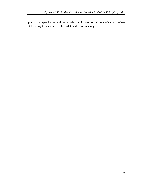opinions and speeches to be alone regarded and listened to, and counteth all that others think and say to be wrong, and holdeth it in derision as a folly.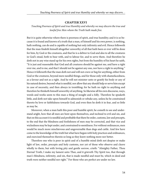## **CHAPTER XXVI**

Touching Poorness of Spirit and true Humility and whereby we may discern the true and lawful free Men whom the Truth hath made free.

But it is quite otherwise where there is poorness of spirit, and true humility; and it is so because it is found and known of a truth that a man, of himself and his own power, is nothing, hath nothing, can do and is capable of nothing but only infirmity and evil. Hence followeth that the man findeth himself altogether unworthy of all that hath been or ever will be done for him, by God or the creatures, and that he is a debtor to God and also to all the creatures in God's stead, both to bear with, and to labour for, and to serve them. And therefore he doth not in any wise stand up for his own rights, but from the humility of his heart he saith, "It is just and reasonable that God and all creatures should be against me, and have a right over me, and to me, and that I should not be against any one, nor have a right to anything." Hence it followeth that the man doth not and will not crave or beg for anything, either from God or the creatures, beyond mere needful things, and for those only with shamefacedness, as a favour and not as a right. And he will not minister unto or gratify his body or any of his natural desires, beyond what is needful, nor allow that any should help or serve him except in case of necessity, and then always in trembling; for he hath no right to anything and therefore he thinketh himself unworthy of anything. So likewise all his own discourse, ways, words and works seem to this man a thing of nought and a folly. Therefore he speaketh little, and doth not take upon himself to admonish or rebuke any, unless he be constrained thereto by love or faithfulness towards God, and even then he doth it in fear, and so little as may be.

Moreover, when a man hath this poor and humble spirit, he cometh to see and understand aright, how that all men are bent upon themselves, and inclined to evil and sin, and that on this account it is needful and profitable that there be order, customs, law and precepts, to the end that the blindness and foolishness of men may be corrected, and that vice and wickedness may be kept under, and constrained to seemliness. For without ordinances, men would be much more mischievous and ungovernable than dogs and cattle. And few have come to the knowledge of the truth but what have begun with holy practices and ordinances, and exercised themselves therein so long as they knew nothing more nor better.

Therefore one who is poor in spirit and of a humble mind doth not despise or make light of law, order, precepts and holy customs, nor yet of those who observe and cleave wholly to them, but with loving pity and gentle sorrow, crieth: "Almighty Father, Thou Eternal Truth, I make my lament unto Thee, and it grieveth Thy Spirit too, that through man's blindness, infirmity, and sin, that is made needful and must be, which in deed and truth were neither needful nor right." For those who are perfect are under no law.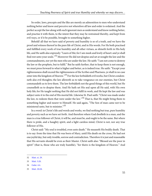So order, laws, precepts and the like are merely an admonition to men who understand nothing better and know and perceive not wherefore all law and order is ordained. And the perfect accept the law along with such ignorant men as understand and know nothing better, and practise it with them, to the intent that they may be restrained thereby, and kept from evil ways, or if it be possible, brought to something higher.

Behold! all that we have said of poverty and humility is so of a truth, and we have the proof and witness thereof in the pure life of Christ, and in His words. For He both practised and fulfilled every work of true humility and all other virtues, as shineth forth in His holy life, and He saith also expressly: "Learn of Me; for I am meek and lowly of heart: and ye shall find rest unto your souls."<sup>32</sup> Moreover He did not despise and set at nought the law and the commandments, nor yet the men who are under the law. He saith: "I am not come to destroy the law or the prophets, but to fulfil." But he saith further, that to keep them is not enough, we must press forward to what is higher and better, as is indeed true. He saith: "Except your righteousness shall exceed the righteousness of the Scribes and Pharisees, ye shall in no case enter into the kingdom of Heaven."<sup>33</sup> For the law forbiddeth evil works, but Christ condemneth also evil thoughts; the law alloweth us to take vengeance on our enemies, but Christ commandeth us to love them. The law forbiddeth not the good things of this world, but He counselleth us to despise them. And He hath set His seal upon all He said, with His own holy life; for He taught nothing that He did not fulfil in work, and He kept the law and was subject unto it to the end of His mortal life. Likewise St. Paul saith: "Christ was made under the law, to redeem them that were under the law."<sup>34</sup> That is, that He might bring them to something higher and nearer to Himself. He said again, "The Son of man came not to be ministered unto, but to minister."<sup>35</sup>

In a word: in Christ's life and words and works, we find nothing but true, pure humility and poverty such as we have set forth. And therefore where God dwelleth in a man, and the man is a true follower of Christ, it will be, and must be, and ought to be the same. But where there is pride, and a haughty spirit, and a light careless mind, Christ is not, nor any true follower of His.

Christ said: "My soul is troubled, even unto death." He meaneth His bodily death. That is to say: from the time that He was born of Mary, until His death on the cross, He had not one joyful day, but only trouble, sorrow and contradiction. Therefore it is just and reasonable that His servants should be even as their Master. Christ saith also: "Blessed are the poor in spirit" (that is, those who are truly humble), "for theirs is the kingdom of Heaven." And

<sup>32</sup> [Matt. xi. 29.](http://www.ccel.org/study/Bible:Matt.11.29)

<sup>33</sup> [Matt. 5:20](http://www.ccel.org/study/Bible:Matt.5.20).

<sup>34</sup> [Galat. 4:4.](http://www.ccel.org/study/Bible:Gal.4.4)

<sup>35</sup> [Matt. 20:28.](http://www.ccel.org/study/Bible:Matt.20.28)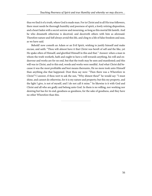thus we find it of a truth, where God is made man. For in Christ and in all His true followers, there must needs be thorough humility and poorness of spirit, a lowly retiring disposition, and a heart laden with a secret sorrow and mourning, so long as this mortal life lasteth. And he who dreameth otherwise is deceived, and deceiveth others with him as aforesaid. Therefore nature and Self always avoid this life, and cling to a life of false freedom and ease, as we have said.

Behold! now cometh an Adam or an Evil Spirit, wishing to justify himself and make excuse, and saith: "Thou wilt almost have it that Christ was bereft of self and the like, yet He spake often of Himself, and glorified Himself in this and that." Answer: when a man in whom the truth worketh, hath and ought to have a will towards anything, his will and endeavour and works are for no end, but that the truth may be seen and manifested; and this will was in Christ, and to this end, words and works were needful. And what Christ did because it was the most profitable and best means thereunto, He no more took unto Himself than anything else that happened. Dost thou say now: "Then there was a Wherefore in Christ"? I answer, if thou wert to ask the sun, "Why shinest thou?" he would say: "I must shine, and cannot do otherwise, for it is my nature and property; but this my property, and the light I give, is not of myself, and I do not call it mine." So likewise is it with God and Christ and all who are godly and belong unto God. In them is no willing, nor working nor desiring but has for its end, goodness as goodness, for the sake of goodness, and they have no other Wherefore than this.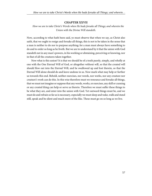### **CHAPTER XXVII**

How we are to take Christ's Words when He bade forsake all Things; and wherein the Union with the Divine Will standeth.

Now, according to what hath been said, ye must observe that when we say, as Christ also saith, that we ought to resign and forsake all things, this is not to be taken in the sense that a man is neither to do nor to purpose anything; for a man must always have something to do and to order so long as he liveth. But we are to understand by it that the union with God standeth not in any man's powers, in his working or abstaining, perceiving or knowing, nor in that of all the creatures taken together.

Now what is this union? It is that we should be of a truth purely, simply, and wholly at one with the One Eternal Will of God, or altogether without will, so that the created will should flow out into the Eternal Will, and be swallowed up and lost therein, so that the Eternal Will alone should do and leave undone in us. Now mark what may help or further us towards this end. Behold, neither exercises, nor words, nor works, nor any creature nor creature's work can do this. In this wise therefore must we renounce and forsake all things, that we must not imagine or suppose that any words, works, or exercises, any skill or cunning or any created thing can help or serve us thereto. Therefore we must suffer these things to be what they are, and enter into the union with God. Yet outward things must be, and we must do and refrain so far as is necessary, especially we must sleep and wake, walk and stand still, speak and be silent and much more of the like. These must go on so long as we live.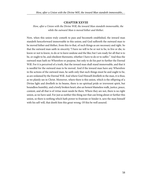### **CHAPTER XXVIII**

How, after a Union with the Divine Will, the inward Man standeth immoveable, the while the outward Man is moved hither and thither.

Now, when this union truly cometh to pass and becometh established, the inward man standeth henceforward immoveable in this union; and God suffereth the outward man to be moved hither and thither, from this to that, of such things as are necessary and right. So that the outward man saith in sincerity "I have no will to be or not to be, to live or die, to know or not to know, to do or to leave undone and the like; but I am ready for all that is to be, or ought to be, and obedient thereunto, whether I have to do or to suffer." And thus the outward man hath no Wherefore or purpose, but only to do his part to further the Eternal Will. For it is perceived of a truth, that the inward man shall stand immoveable, and that it is needful for the outward man to be moved. And if the inward man have any Wherefore in the actions of the outward man, he saith only that such things must be and ought to be, as are ordained by the Eternal Will. And where God Himself dwelleth in the man, it is thus; as we plainly see in Christ. Moreover, where there is this union, which is the offspring of a Divine light and dwelleth in its beams, there is no spiritual pride or irreverent spirit, but boundless humility, and a lowly broken heart; also an honest blameless walk, justice, peace, content, and all that is of virtue must needs be there. Where they are not, there is no right union, as we have said. For just as neither this thing nor that can bring about or further this union, so there is nothing which hath power to frustrate or hinder it, save the man himself with his self-will, that doeth him this great wrong. Of this be well assured.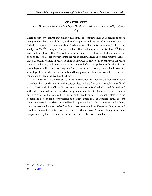## **CHAPTER XXIX**

## How a Man may not attain so high before Death as not to be moved or touched by outward Things.

There be some who affirm, that a man, while in this present time, may and ought to be above being touched by outward things, and in all respects as Christ was after His resurrection. This they try to prove and establish by Christ's words: "I go before you into Galilee there; shall ye see Me."  $36$  And again, "A spirit hath not flesh and bones, as ye see Me have."  $37$  These sayings they interpret thus: "As ye have seen Me, and been followers of Me, in My mortal body and life, so also it behoveth you to see Me and follow Me, as I go before you into Galilee; that is to say, into a state in which nothing hath power to move or grieve the soul; on which state ye shall enter, and live and continue therein, before that ye have suffered and gone through your bodily death. And as ye see Me having flesh and bones, and not liable to suffer, so shall ye likewise, while yet in the body and having your mortal nature, cease to feel outward things, were it even the death of the body."

Now, I answer, in the first place, to this affirmation, that Christ did not mean that a man should or could attain unto this state, unless he have first gone through and suffered all that Christ did. Now, Christ did not attain thereunto, before He had passed through and suffered His natural death, and what things appertain thereto. Therefore no man can or ought to come to it so long as he is mortal and liable to suffer. For if such a state were the noblest and best, and if it were possible and right to attain to it, as aforesaid, in this present time, then it would have been attained by Christ; for the life of Christ is the best and noblest, the worthiest and loveliest in God's sight that ever was or will be. Therefore if it was not and could not be so with Christ, it will never be so with any man. Therefore though some may imagine and say that such a life is the best and noblest life, yet it is not so.

<sup>36</sup> [Matt. 26:32,](http://www.ccel.org/study/Bible:Matt.26.32) and 28:7-10.

<sup>37</sup> [Luke 24:39.](http://www.ccel.org/study/Bible:Luke.24.39)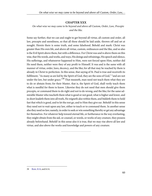## **CHAPTER XXX**

# On what wise we may came to be beyond and above all Custom, Order, Law, Precepts and the like.

Some say further, that we can and ought to get beyond all virtue, all custom and order, all law, precepts and seemliness, so that all these should be laid aside, thrown off and set at nought. Herein there is some truth, and some falsehood. Behold and mark: Christ was greater than His own life, and above all virtue, custom, ordinances and the like, and so also is the Evil Spirit above them, but with a difference. For Christ was and is above them on this wise, that His words, and works, and ways, His doings and refrainings, His speech and silence, His sufferings, and whatsoever happened to Him, were not forced upon Him, neither did He need them, neither were they of any profit to Himself. It was and is the same with all manner of virtue, order, laws, decency, and the like; for all that may be reached by them is already in Christ to perfection. In this sense, that saying of St. Paul is true and receiveth its fulfilment, "As many as are led by the Spirit of God, they are the sons of God," "and are not under the law, but under grace.<sup>38</sup> That meaneth, man need not teach them what they are to do or abstain from; for their Master, that is, the Spirit of God, shall verily teach them what is needful for them to know. Likewise they do not need that men should give them precepts, or command them to do right and not to do wrong, and the like; for the same admirable Master who teacheth them what is good or not good, what is higher and lower, and in short leadeth them into all truth, He reigneth also within them, and biddeth them to hold fast that which is good, and to let the rest go, and to Him they give ear. Behold! in this sense they need not to wait upon any law, either to teach or to command them. In another sense also they need no law; namely, in order to seek or win something thereby or get any advantage for themselves. For whatever help toward eternal life, or furtherance in the way everlasting, they might obtain from the aid, or counsel, or words, or works of any creature, they possess already beforehand. Behold! in this sense also it is true, that we may rise above all law and virtue, and also above the works and knowledge and powers of any creature.

<sup>38</sup> [Rom. 8:14](http://www.ccel.org/study/Bible:Rom.8.14), and 6:14.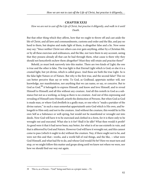#### **CHAPTER XXXI**

## How we are not to cast off the Life of Christ, but practise it diligently, and walk in it until Death.

But that other thing which they affirm, how that we ought to throw off and cast aside the life of Christ, and all laws and commandments, customs and order and the like, and pay no heed to them, but despise and make light of them, is altogether false and a lie. Now some may say; "Since neither Christ nor others can ever gain anything, either by a Christian life, or by all these exercises and ordinances, and the like, nor turn them to any account, seeing that they possess already all that can be had through them, what cause is there why they should not henceforth eschew them altogether? Must they still retain and practise them?"

Behold, ye must look narrowly into this matter. There are two kinds of Light; the one is true and the other is false. The true light is that Eternal Light which is God; or else it is a created light, but yet divine, which is called grace. And these are both the true Light. So is the false light Nature or of Nature. But why is the first true, and the second false? This we can better perceive than say or write. To God, as Godhead, appertain neither will, nor knowledge, nor manifestation, nor anything that we can name, or say, or conceive. But to God as God,<sup>39</sup> it belongeth to express Himself, and know and love Himself, and to reveal Himself to Himself; and all this without any creature. And all this resteth in God as a substance but not as a working, so long as there is no creature. And out of this expressing and revealing of Himself unto Himself, ariseth the distinction of Persons. But when God as God is made man, or where God dwelleth in a godly man, or one who is "made a partaker of the divine nature," in such a man somewhat appertaineth unto God which is His own, and belongeth to Him only and not to the creature. And without the creature, this would lie in His own Self as a Substance or well-spring, but would not be manifested or wrought out into deeds. Now God will have it to be exercised and clothed in a form, for it is there only to be wrought out and executed. What else is it for? Shall it lie idle? What then would it profit? As good were it that it had never been; nay better, for what is of no use existeth in vain, and that is abhorred by God and Nature. However God will have it wrought out, and this cannot come to pass (which it ought to do) without the creature. Nay, if there ought not to be, and were not this and that—works, and a world full of real things, and the like, —what were God Himself, and what had He to do, and whose God would He be? Here we must turn and stop, or we might follow this matter and grope along until we knew not where we were, nor how we should find our way out again.

<sup>39</sup> This is, as a Person—"God" being used here as a proper name.—Tr.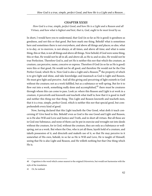## **CHAPTER XXXII**

How God is a true, simple, perfect Good, and how He is a Light and a Reason and all Virtues, and how what is highest and best, that is, God, ought to be most loved by us.

In short, I would have you to understand, that God (in so far as He is good) is goodness as goodness, and not this or that good. But here mark one thing. Behold! what is sometimes here and sometimes there is not everywhere, and above all things and places; so also, what is to-day, or to-morrow, is not always, at all times, and above all time; and what is some thing, this or that, is not all things and above all things. Now behold, if God were some thing, this or that, He would not be all in all, and above all, as He is; and so also, He would not be true Perfection. Therefore God is, and yet He is neither this nor that which the creature, as creature, can perceive, name, conceive or express. Therefore if God (in so far as He is good) were this or that good, He would not be all good, and therefore He would not be the One Perfect Good, which He is. Now God is also a Light and a Reason,<sup>40</sup> the property of which is to give light and shine, and take knowledge; and inasmuch as God is Light and Reason, He must give light and perceive. And all this giving and perceiving of light existeth in God without the creature; not as a work fulfilled, but as a substance or well-spring. But for it to flow out into a work, something really done and accomplished, $41$  there must be creatures through whom this can come to pass. Look ye: where this Reason and Light is at work in a creature, it perceiveth and knoweth and teacheth what itself is; how that it is good in itself and neither this thing nor that thing. This Light and Reason knoweth and teacheth men, that it is a true, simple, perfect Good, which is neither this nor that special good, but comprehendeth every kind of good.

Now, having declared that this Light teacheth the One Good, what doth it teach concerning it? Give heed to this. Behold! even as God is the one Good and Light and Reason, so is He also Will and Love and Justice and Truth, and in short all virtues. But all these are in God one Substance, and none of them can be put in exercise and wrought out into deeds without the creature, for in God, without the creature, they are only as a Substance or wellspring, not as a work. But where the One, who is yet all these, layeth hold of a creature, and taketh possession of it, and directeth and maketh use of it, so that He may perceive in it somewhat of His own, behold, in so far as He is Will and Love, He is taught of Himself, seeing that He is also Light and Reason, and He willeth nothing but that One thing which He is.

<sup>40</sup> Cognition is the word which comes nearest to the original *Erkenntniss*, but would not harmonise with the style of the translation.

<sup>41</sup> Or, be realised.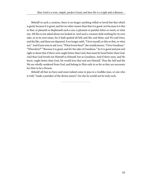Behold! in such a creature, there is no longer anything willed or loved but that which is good, because it is good, and for no other reason than that it is good, not because it is this or that, or pleaseth or displeaseth such a one, is pleasant or painful, bitter or sweet, or what not. All this is not asked about nor looked at. And such a creature doth nothing for its own sake, or in its own name, for it hath quitted all Self, and Me, and Mine, and We and Ours, and the like, and these are departed. It no longer saith, "I love myself, or this or that, or what not." And if you were to ask Love, "What lovest thou?" she would answer, "I love Goodness." "Wherefore?" "Because it is good, and for the sake of Goodness." So it is good and just and right to deem that if there were ought better than God, that must be loved better than God. And thus God loveth not Himself as Himself, but as Goodness. And if there were, and He knew, ought better than God, He would love that and not Himself. Thus the Self and the Me are wholly sundered from God, and belong to Him only in so far as they are necessary for Him to be a Person.

Behold! all that we have said must indeed come to pass in a Godlike man, or one who is truly "made a partaker of the divine nature"; for else he would not be truly such.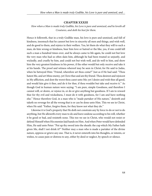### **CHAPTER XXXIII**

How when a Man is made truly Godlike, his Love is pure and unmixed, and he loveth all Creatures, and doth his best for them.

Hence it followeth, that in a truly Godlike man, his love is pure and unmixed, and full of kindness, insomuch that he cannot but love in sincerity all men and things, and wish well, and do good to them, and rejoice in their welfare. Yea, let them do what they will to such a man, do him wrong or kindness, bear him love or hatred or the like, yea, if one could kill such a man a hundred times over, and he always came to life again, he could not but love the very man who had so often slain him, although he had been treated so unjustly, and wickedly, and cruelly by him, and could not but wish well, and do well to him, and show him the very greatest kindness in his power, if the other would but only receive and take it at his hands. The proof and witness whereof may be seen in Christ; for He said to Judas, when he betrayed Him: "Friend, wherefore art thou come?" Just as if He had said: "Thou hatest Me, and art Mine enemy, yet I love thee and am thy friend. Thou desirest and rejoicest in My affliction, and dost the worst thou canst unto Me; yet I desire and wish thee all good, and would fain give it thee, and do it for thee, if thou wouldst but take and receive it." As though God in human nature were saying: "I am pure, simple Goodness, and therefore I cannot will, or desire, or rejoice in, or do or give anything but goodness. If I am to reward thee for thy evil and wickedness, I must do it with goodness, for I am and have nothing else." Hence therefore God, in a man who is "made partaker of His nature," desireth and taketh no revenge for all the wrong that is or can be done unto Him. This we see in Christ, when He said: "Father, forgive them, for they know not what they do."

Likewise it is God's property that He doth not constrain any by force to do or not to do anything, but He alloweth every man to do and leave undone according to his will, whether it be good or bad, and resisteth none. This too we see in Christ, who would not resist or defend Himself when His enemies laid hands on Him. And when Peter would have defended Him, He said unto Peter: "Put up thy sword into the sheath: the cup which My Father hath given Me, shall I not drink it?" Neither may a man who is made a partaker of the divine nature, oppress or grieve any one. That is, it never entereth into his thoughts, or intents, or wishes, to cause pain or distress to any, either by deed or neglect, by speech or silence.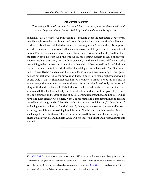#### **CHAPTER XXXIV**

How that if a Man will attain to that which is best, he must forswear his own Will; and he who helpeth a Man to his own Will helpeth him to the worst Thing he can.

Some may say: "Now since God willeth and desireth and doeth the best that may be to every one, He ought so to help each man and order things for him, that they should fall out according to his will and fulfil his desires, so that one might be a Pope, another a Bishop, and so forth." Be assured, he who helpeth a man to his own will, helpeth him to the worst that he can. For the more a man followeth after his own self-will, and self-will groweth in him, the farther off is he from God, the true Good, for nothing burneth in hell but self-will. Therefore it hath been said, "Put off thine own will, and there will be no hell." Now God is very willing to help a man and bring him to that which is best in itself, and is of all things the best for man. But to this end, all self-will must depart, as we have said. And God would fain give man His help and counsel thereunto, for so long as a man is seeking his own good, he doth not seek what is best for him, and will never find it. For a man's highest good would be and truly is, that he should not seek himself nor his own things, nor be his own end in any respect, either in things spiritual or things natural, but should seek only the praise and glory of God and His holy will. This doth God teach and admonish us. Let him therefore who wisheth that God should help him to what is best, and best for him, give diligent heed to God's counsels and teachings, and obey His commandments; thus, and not else, will he have, and hath already, God's help. Now God teacheth and admonisheth man to forsake himself and all things, and to follow Him only. "For he who loveth his soul,"<sup>42</sup> that is himself, and will guard it and keep it, "he shall lose it"; that is, he who seeketh himself and his own advantage in all things, in so doing loseth his soul. "But he who hateth his soul for My sake shall keep it unto life eternal"; that is, he who forsaketh himself and his own things, and giveth up his own will, and fulfilleth God's will, his soul will be kept and preserved unto Life Eternal.

<sup>42</sup> [Mark 8:35](http://www.ccel.org/study/Bible:Mark.8.35). Our authorised version uses the word "life" in this verse, but as that would not quite bring out the force of the original, I have ventured to use the same word for here, by which it is translated in the two succeeding verses. Except in this and another passage, where, in quoting [John 3:8](http://www.ccel.org/study/Bible:John.3.8), is translated, as in Luther's version, Spirit instead of Wind, our authorised version has been always ahered to.-Tr.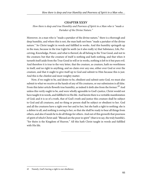# **CHAPTER XXXV**

How there is deep and true Humility and Poorness of Spirit in a Man who is "made a Partaker of the Divine Nature."

Moreover, in a man who is "made a partaker of the divine nature," there is a thorough and deep humility, and where this is not, the man hath not been "made a partaker of the divine nature." So Christ taught in words and fulfilled in works. And this humility springeth up in the man, because in the true Light he seeth (as it also really is) that Substance, Life, Perceiving, Knowledge, Power, and what is thereof, do all belong to the True Good, and not to the creature; but that the creature of itself is nothing and hath nothing, and that when it turneth itself aside from the True Good in will or in works, nothing is left to it but pure evil. And therefore it is true to the very letter, that the creature, as creature, hath no worthiness in itself, and no right to anything, and no claim over any one, either over God or over the creature, and that it ought to give itself up to God and submit to Him because this is just. And this is the chiefest and most weighty matter.

Now, if we ought to be, and desire to be, obedient and submit unto God, we must also submit to what we receive at the hands of any of His creatures, or our submission is all false. From this latter article floweth true humility, as indeed it doth also from the former.<sup>43</sup> And unless this verily ought to be, and were wholly agreeable to God's justice, Christ would not have taught it in words, and fulfilled it in His life. And herein there is a veritable manifestation of God; and it is so of a truth, that of God's truth and justice this creature shall be subject to God and all creatures, and no thing or person shall be subject or obedient to her. God and all the creatures have a right over her and to her, but she hath a right to nothing: she is a debtor to all, and nothing is owing to her, so that she shall be ready to bear all things from others, and also if needs be to do all things for others. And out of this groweth that poorness of spirit of which Christ said: "Blessed are the poor in spirit" (that is to say, the truly humble), "for theirs is the Kingdom of Heaven." All this hath Christ taught in words and fulfilled with His life.

<sup>43</sup> Namely, God's having a right to our obedience.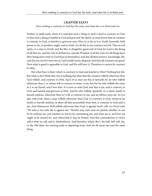### **CHAPTER XXXVI**

#### How nothing is contrary to God but Sin only; and what Sin is in Kind and Act.

Further ye shall mark: when it is said that such a thing or such a deed is contrary to God, or that such a thing is hateful to God and grieveth His Spirit, ye must know that no creature is contrary to God, or hateful or grievous unto Him, in so far as it is, liveth, knoweth, hath power to do, or produce ought, and so forth, for all this is not contrary to God. That an evil spirit, or a man is, liveth, and the like, is altogether good and of God; for God is the Being of all that are, and the Life of all that live, and the Wisdom of all the wise; for all things have their being more truly in God than in themselves, and also all their powers, knowledge, life, and the rest; for if it were not so, God would not be all good; And thus all creatures are good. Now what is good is agreeable to God, and He will have it. Therefore it cannot be contrary to Him.

But what then is there which is contrary to God and hateful to Him? Nothing but Sin. But what is Sin? Mark this: Sin is nothing else than that the creature willeth otherwise than God willeth, and contrary to Him. Each of us may see this in himself; for he who willeth otherwise than I, or whose will is contrary to mine, is my foe; but he who willeth the same as I, is my friend, and I love him. It is even so with God: and that is sin, and is contrary to God, and hateful and grievous to Him. And he who willeth, speaketh, or is silent, doeth or leaveth undone, otherwise than as I will, is contrary to me, and an offence unto me. So it is also with God: when a man willeth otherwise than God, or contrary to God, whatever he doeth or leaveth undone, in short all that proceedeth from him, is contrary to God and is sin. And whatsoever Will willeth otherwise than God, is against God's will. As Christ said: "He who is not with Me is against me." Hereby may each man see plainly whether or not he be without sin, and whether or not he be committing sin, and what sin is, and how sin ought to be atoned for, and wherewith it may be healed. And this contradiction to God's will is what we call, and is, disobedience. And therefore Adam, the I, the Self, Self-will, Sin, or the Old Man, the turning aside or departing from God, do all mean one and the same thing.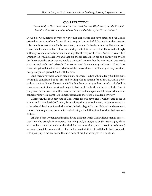# **CHAPTER XXXVII**

How in God, as God, there can neither be Grief, Sorrow, Displeasure, nor the like, but how it is otherwise in a Man who is "made a Partaker of the Divine Nature."

In God, as God, neither sorrow nor grief nor displeasure can have place, and yet God is grieved on account of men's sins. Now since grief cannot befall God without the creature, this cometh to pass where He is made man, or when He dwelleth in a Godlike man. And there, behold, sin is so hateful to God, and grieveth Him so sore, that He would willingly suffer agony and death, if one man's sins might be thereby washed out. And if He were asked whether He would rather live and that sin should remain, or die and destroy sin by His death, He would answer that He would a thousand times rather die. For to God one man's sin is more hateful, and grieveth Him worse than His own agony and death. Now if one man's sin grieveth God so sore, what must the sins of all men do? Hereby ye may consider, how greatly man grieveth God with his sins.

And therefore where God is made man, or when He dwelleth in a truly Godlike man, nothing is complained of but sin, and nothing else is hateful; for all that is, and is done, without sin, is as God will have it, and is His. But the mourning and sorrow of a truly Godlike man on account of sin, must and ought to last until death, should he live till the Day of Judgment, or for ever. From this cause arose that hidden anguish of Christ, of which none can tell or knoweth ought save Himself alone, and therefore is it called a mystery.

Moreover, this is an attribute of God, which He will have, and is well pleased to see in a man; and it is indeed God's own, for it belongeth not unto the man, he cannot make sin to be so hateful to himself. And where God findeth this grief for sin, He loveth and esteemeth it more than ought else; because it is, of all things, the bitterest and saddest that man can endure.

All that is here written touching this divine attribute, which God will have man to possess, that it may be brought into exercise in a living soul, is taught us by that true Light, which also teacheth the man in whom this Godlike sorrow worketh, not to take it unto himself, any more than if he were not there. For such a man feeleth in himself that he hath not made it to spring up in his heart, and that it is none of his, but belongeth to God alone.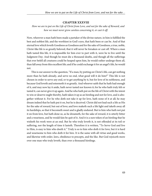# **CHAPTER XXXVIII**

How we are to put on the Life of Christ from Love, and not for the sake of Reward, and how we must never grow careless concerning it, or cast it off.

Now, wherever a man hath been made a partaker of the divine nature, in him is fulfilled the best and noblest life, and the worthiest in God's eyes, that hath been or can be. And of that eternal love which loveth Goodness as Goodness and for the sake of Goodness, a true, noble, Christ-like life is so greatly beloved, that it will never be forsaken or cast off. Where a man hath tasted this life, it is impossible for him ever to part with it, were he to live until the Judgment Day. And though he must die a thousand deaths, and though all the sufferings that ever befell all creatures could be heaped upon him, he would rather undergo them all, than fall away from this excellent life; and if he could exchange it for an angel's life, he would not.

This is our answer to the question, "If a man, by putting on Christ's life, can get nothing more than he hath already, and serve no end, what good will it do him?" This life is not chosen in order to serve any end, or to get anything by it, but for love of its nobleness, and because God loveth and esteemeth it so greatly. And whoever saith that he hath had enough of it, and may now lay it aside, hath never tasted nor known it; for he who hath truly felt or tasted it, can never give it up again. And he who hath put on the life of Christ with the intent to win or deserve ought thereby, hath taken it up as an hireling and not for love, and is altogether without it. For he who doth not take it up for love, hath none of it at all; he may dream indeed that he hath put it on, but he is deceived. Christ did not lead such a life as His for the sake of reward, but out of love; and love maketh such a life light and taketh away all its hardships, so that it becometh sweet and is gladly endured. But to him who hath not put it on from love, but hath done so, as he dreameth, for the sake of reward, it is utterly bitter and a weariness, and he would fain be quit of it. And it is a sure token of an hireling that he wisheth his work were at an end. But he who truly loveth it, is not offended at its toil or suffering, nor the length of time it lasteth. Therefore it is written, "To Serve God and live to Him, is easy to him who doeth it." Truly is so to him who doth it for love, but it is hard and wearisome to him who doth it for hire. It is the same with all virtue and good works, and likewise with order, laws, obedience to precepts, and the like. But God rejoiceth more over one man who truly loveth, than over a thousand hirelings.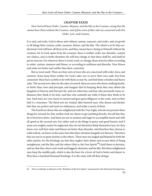# **CHAPTER XXXIX**

How God will have Order, Custom, Measure, and the like in the Creature, seeing that He cannot have them without the Creature, and of four sorts of Men who are concerned with this Order, Law, and Custom.

It is said, and truly, God is above and without custom, measure, and order, and yet giveth to all things their custom, order, measure, fitness, and the like. The which is to be thus understood. God will have all these to be, and they cannot have a being in Himself without the creature, for in God, apart from the creature, there is neither order nor disorder, custom nor chance, and so forth; therefore He will have things so that these shall be, and shall be put in exercise. For wherever there is word, work, or change, these must be either according to order, custom, measure and fitness, or according to unfitness and disorder. Now fitness and order are better and nobler than their contraries.

But ye must mark: There are four sorts of men who are concerned with order, laws, and customs. Some keep them neither for God's sake, nor to serve their own ends, but from constraint: these have as little to do with them as may be, and find them a burden and heavy yoke. The second sort obey for the sake of reward: these are men who know nothing beside, or better than, laws and precepts, and imagine that by keeping them they may obtain the kingdom of Heaven and Eternal Life, and not otherwise; and him who practiseth many ordinances they think to be holy, and him who omitteth any tittle of them they think to be lost. Such men are very much in earnest and give great diligence to the work, and yet they find it a weariness. The third sort are wicked, false-hearted men, who dream and declare that they are perfect and need no ordinances, and make a mock of them.

The fourth are those who are enlightened with the True Light, who do not practise these things for reward, for they neither look nor desire to get anything thereby, but all that they do is from love alone. And these are not so anxious and eager to accomplish much and with all speed as the second sort, but rather seek to do things in peace and good leisure; and if some not weighty matter be neglected, they do not therefore think themselves lost, for they know very well that order and fitness are better than disorder, and therefore they choose to walk orderly, yet know at the same time that their salvation hangeth not thereon. Therefore they are not in so great anxiety as the others. These men are judged and blamed by both the other parties, for the hirelings say that they neglect their duties and accuse them of being unrighteous, and the like; and the others (that is, the Free Spirits<sup>44</sup>) hold them in derision, and say that they cleave unto weak and beggarly elements, and the like. But these enlightened men keep the middle path, which is also the best; for a lover of God is better and dearer to Him than a hundred thousand hirelings. It is the same with all their doings.

<sup>44</sup> This is evidently an allusion to the "Brethren of the Free Spirit," mentioned in the Historical Introduction.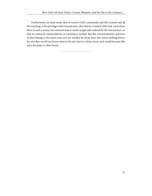Furthermore, ye must mark, that to receive God's commands and His counsel and all His teaching, is the privilege of the inward man, after that he is united with God. And where there is such a union, the outward man is surely taught and ordered by the inward man, so that no outward commandment or teaching is needed. But the commandments and laws of men belong to the outer man, and are needful for those men who know nothing better, for else they would not know what to do and what to refrain from, and would become like unto the dogs or other beasts.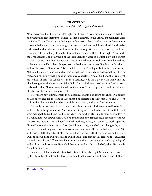## **CHAPTER XL**

A good Account of the False Light and its Kind.

Now I have said that there is a False Light; but I must tell you more particularly what it is, and what belongeth thereunto. Behold, all that is contrary to the True Light belongeth unto the False. To the True Light it belongeth of necessity, that it seeketh not to deceive, nor consenteth that any should be wronged or deceived, neither can it be deceived. But the false is deceived and a delusion, and deceiveth others along with itself. For God deceiveth no man, nor willeth that any should be deceived, and so it is with His True Light. Now mark, the True Light is God or divine, but the False Light is Nature or natural. Now it belongeth to God, that He is neither this nor that, neither willeth nor desireth, nor seeketh anything in the man whom He hath made a partaker of the divine nature, save Goodness as Goodness, and for the sake of Goodness. This is the token of the True Light. But to the Creature and Nature it belongeth to be somewhat, this or that, and to intend and seek something, this or that, and not simply what is good without any Wherefore. And as God and the True Light are without all self-will, selfishness, and self-seeking, so do the I, the Me, the Mine, and the like, belong unto the natural and false Light; for in all things it seeketh itself and its own ends, rather than Goodness for the sake of Goodness. This is its property, and the property of nature or the carnal man in each of us.

Now mark how it first cometh to be deceived. It doth not desire nor choose Goodness as Goodness, and for the sake of Goodness, but desireth and chooseth itself and its own ends, rather than the Highest Good; and this is an error, and is the first deception.

Secondly, it dreameth itself to be that which it is not, for it dreameth itself to be God, and is truly nothing but nature. And because it imagineth itself to be God, it taketh to itself what belongeth to God; and not that which is God's, when He is made man, or dwelleth in a Godlike man, but that which is God's, and belongeth unto Him, as He is in eternity, without the creature. For, as it is said, God needeth nothing, is free, not bound to work, apart by Himself, above all things, and so forth (which is all true); and God is unchangeable, not to be moved by anything, and is without conscience, and what He doeth that is well done; "So will I be," saith the False Light, "for the more like God one is, the better one is, and therefore I will be like God and will be God, and will sit and go and stand at His right hand": as Lucifer the Evil Spirit also said.<sup>45</sup> Now God in Eternity is without contradiction, suffering and grief, and nothing can hurt or vex Him of all that is or befalleth. But with God, when He is made Man, it is otherwise.

In a word: all that can be deceived is deceived by this False Light. Now since all is deceived by this False Light that can be deceived, and all that is creature and nature, and all that is

<sup>45</sup> [Isaiah 14:13, 14](http://www.ccel.org/study/Bible:Isa.14.13 Bible:Isa.14.14).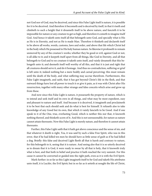not God nor of God, may be deceived, and since this False Light itself is nature, it is possible for it to be deceived. And therefore it becometh and is deceived by itself, in that it riseth and climbeth to such a height that it dreameth itself to be above nature, and fancieth it to be impossible for nature or any creature to get so high, and therefore it cometh to imagine itself God. And hence it taketh unto itself all that belongeth unto God, and specially what is His as He is in Eternity, and not as He is made Man. Therefore it thinketh and declareth itself to be above all works, words, customs, laws and order, and above that life which Christ led in the body which He possessed in His holy human nature. So likewise it professeth to remain unmoved by any of the creature's works; whether they be good or evil, against God or not, is all alike to it; and it keepeth itself apart from all things, like God in Eternity, and all that belongeth to God and to no creature it taketh unto itself, and vainly dreameth that this belongeth unto it; and deemeth itself well worthy of all this, and that it is just and right that all creatures should serve it, and do it homage. And thus no contradiction, suffering or grief is left unto it; indeed nothing but a mere bodily and carnal perceiving: this must remain until the death of the body, and what suffering may accrue therefrom. Furthermore, this False Light imagineth, and saith, that it has got beyond Christ's life in the flesh, and that outward things have lost all power to touch it or give it pain, as it was with Christ after His resurrection, together with many other strange and false conceits which arise and grow up from these.

And now since this False Light is nature, it possesseth the property of nature, which is to intend and seek itself and its own in all things, and what may be most expedient, easy and pleasant to nature and itself. And because it is deceived, it imagineth and proclaimeth it to be best that each should seek and do what is best for himself. It refuseth also to take knowledge of any Good but its own, that which it vainly fancieth to be Good. And if one speak to it of the One, true, everlasting Good, which is neither this nor that, it knoweth nothing thereof, and thinketh scorn of it. And this is not unreasonable, for nature as nature cannot attain thereunto. Now this False Light is merely nature, and therefore it cannot attain thereunto.

Further, this False Light saith that it hath got above conscience and the sense of sin, and that whatever it doeth is right, Yea, it was said by such a false Free Spirit, who was in this error, that if he had killed ten men he should have as little sense of guilt as if he had killed a dog. Briefly: this false and deceived Light fleeth all that is harsh and contrary to nature, for this belongeth to it, seeing that it is nature. And seeing also that it is so utterly deceived as to dream that it is God, it were ready to swear by all that is holy, that it knoweth truly what is best, and that both in belief and practice it hath reached the very summit. For this cause it cannot be converted or guided into the right path, even as it is with the Evil Spirit.

Mark further: in so far as this Light imagineth itself to be God and taketh His attributes unto itself, it is Lucifer, the Evil Spirit; but in so far as it setteth at nought the life of Christ,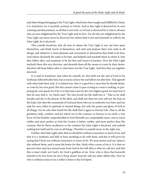and other things belonging to the True Light, which have been taught and fulfilled by Christ, it is Antichrist, for it teacheth contrary to Christ. And as this Light is deceived by its own cunning and discernment, so all that is not God, or of God, is deceived by it, that is, all men who are not enlightened by the True Light and its love. For all who are enlightened by the True Light can never more be deceived, but whoso hath it not and chooseth to walk by the False Light, he is deceived.

This cometh herefrom, that all men in whom the True Light is not, are bent upon themselves, and think much of themselves, and seek and propose their own ends in all things, and whatever is most pleasant and convenient to themselves they hold to be best. And whoso declareth the same to be best, and helpeth and teacheth them to attain it, him they follow after, and maintain to be the best and wisest of teachers. Now the False Light teacheth them this very doctrine, and showeth them all the means to come by their desire; therefore all those follow after it, who know not the True Light. And thus they are together deceived.

It is said of Antichrist, that when he cometh, he who hath not the seal of God in his forehead, followeth after him, but as many as have the seal follow not after him. This agreeth with what hath been said. It is indeed true, that it is good for a man that he should desire, or come by his own good. But this cannot come to pass so long as a man is seeking, or purposing his own good; for if he is to find and come by his own highest good, he must lose it that he may find it. As Christ said: "He who loveth his life shall lose it." That is; he shall forsake and die to the desires of the flesh, and shall not obey his own will nor the lusts of the body, but obey the commands of God and those who are in authority over him, and not seek his own, either in spiritual or natural things, but only the praise and glory of God in all things. For he who thus loseth his life shall find it again in Eternal Life. That is: all the goodness, help, comfort, and joy which are in the creature, in heaven or on earth, a true lover of God findeth comprehended in God Himself; yea, unspeakably more, and as much nobler and more perfect as God the Creator is better, nobler, and more perfect than His creature. But by these excellences in the creature the False Light is deceived, and seeketh nothing but itself and its own in all things. Therefore it cometh never to the right way.

Further, this False Light saith, that we should be without conscience or sense of sin, and that it is a weakness and folly to have anything to do with them: and this it will prove by saying that Christ was without conscience or sense of sin. We may answer and say: Satan is also without them, and is none the better for that. Mark what a sense of sin is. It is that we perceive how man has turned away from God in his will (this is what we call sin), and that this is man's fault, not God's, for God is guiltless of sin. Now, who is there that knoweth himself to be free from sin save Christ alone? Scarcely will any other affirm this. Now he who is without sense of sin is either Christ or the Evil Spirit.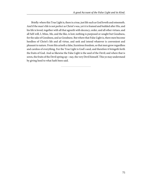Briefly: where this True Light is, there is a true, just life such as God loveth and esteemeth. And if the man's life is not perfect as Christ's was, yet it is framed and builded after His, and his life is loved, together with all that agreeth with decency, order, and all other virtues, and all Self-will, I, Mine, Me, and the like, is lost; nothing is purposed or sought but Goodness, for the sake of Goodness, and as Goodness. But where that False Light is, there men become heedless of Christ's life and all virtue, and seek and intend whatever is convenient and pleasant to nature. From this ariseth a false, licentious freedom, so that men grow regardless and careless of everything. For the True Light is God's seed, and therefore it bringeth forth the fruits of God. And so likewise the False Light is the seed of the Devil; and where that is sown, the fruits of the Devil spring up—nay, the very Devil himself. This ye may understand by giving heed to what hath been said.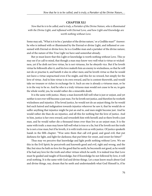#### **CHAPTER XLI**

Now that he is to be called, and is truly, a Partaker of the Divine Nature, who is illuminated with the Divine Light, and inflamed with Eternal Love, and how Light and Knowledge are worth nothing without Love.

Some may ask, "What is it to be a 'partaker of the divine nature,' or a Godlike man?" Answer: he who is imbued with or illuminated by the Eternal or divine Light, and inflamed or consumed with Eternal or divine love, he is a Godlike man and a partaker of the divine nature; and of the nature of this True Light we have said somewhat already.

But ye must know that this Light or knowledge is worth nothing without Love. This ye may see if ye call to mind, that though a man may know very well what is virtue or wickedness, yet if he doth not love virtue, he is not virtuous, for he obeyeth vice. But if he loveth virtue he followeth after it, and his love maketh him an enemy to wickedness, so that he will not do or practise it, and hateth it also in other men; and he loveth virtue so that he would not leave a virtue unpractised even if he might, and this for no reward, but simply for the love of virtue. And to him virtue is its own reward, and he is content therewith, and would take no treasure or riches in exchange for it. Such an one is already a virtuous man, or he is in the way to be so. And he who is a truly virtuous man would not cease to be so, to gain the whole world, yea, he would rather die a miserable death.

It is the same with justice. Many a man knoweth full well what is just or unjust, and yet neither is nor ever will become a just man. For he loveth not justice, and therefore he worketh wickedness and injustice. If he loved justice, he would not do an unjust thing; for he would feel such hatred and indignation towards injustice wherever he saw it, that he would do or suffer anything that injustice might be put an end to, and men might become just. And he would rather die than do an injustice, and all this for nothing but the love of justice. And to him, justice is her own reward, and rewardeth him with herself; and so there liveth a just man, and he would rather die a thousand times over than live as an unjust man. It is the same with truth: a man may know full well what is true or a lie, but if he loveth not the truth he is not a true man; but if he loveth, it is with truth even as with justice. Of justice speaketh Isaiah in the fifth chapter: "Woe unto them that call evil good, and good evil; that put darkness for light, and light for darkness; that put bitter for sweet, and sweet for bitter!"

Thus may we perceive that knowledge and light profit nothing without Love. We see this in the Evil Spirit; he perceiveth and knoweth good and evil, right and wrong, and the like; but since he hath no love for the good that he seeth, he becometh not good, as he would if he had any love for the truth and other virtues which he seeth. It is indeed true that Love must be guided and taught of Knowledge, but if Knowledge be not followed by love, it will avail nothing. It is the same with God and divine things. Let a man know much about God and divine things, nay, dream that he seeth and understandeth what God Himself is, if he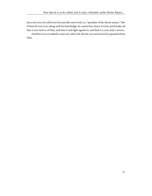have not Love, he will never become like unto God, or a "partaker of the divine nature." But if there be true Love along with his knowledge, he cannot but cleave to God, and forsake all that is not God or of Him, and hate it and fight against it, and find it a cross and a sorrow.

And this Love so maketh a man one with God, that he can nevermore be separated from Him.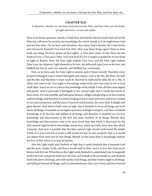#### **CHAPTER XLII**

A Question: whether we can know God and not love Him, and how there are two kinds of Light and Love—a true and a false.

Here is an honest question; namely, it hath been said that he who knoweth God and loveth Him not, will never be saved by his knowledge; the which sounds as if we might know God and not love Him. Yet we have said elsewhere, that where God is known, He is also loved, and whosoever knoweth God must love Him. How may these things agree? Here ye must mark one thing. We have spoken of two Lights—a True and a False. So also there are two kinds of Love, a True and a False. And each kind of Love is taught or guided by its own kind of Light or Reason. Now, the True Light maketh True Love, and the False Light maketh False Love; for whatever Light deemeth to be best, she delivereth unto Love as the best, and biddeth her love it, and Love obeyeth, and fulfilleth her commands.

Now, as we have said, the False Light is natural, and is Nature herself. Therefore every property belongeth unto it which belongeth unto nature, such as the Me, the Mine, the Self, and the like; and therefore it must needs be deceived in itself and be false; for no I, Me, or Mine, ever came to the True Light or Knowledge undeceived, save once only; to wit, in God made Man. And if we are to come to the knowledge of the simple Truth, all these must depart and perish. And in particular it belongeth to the natural Light that it would fain know or learn much, if it were possible, and hath great pleasure, delight and glorying in its discernment and knowledge; and therefore it is always longing to know more and more, and never cometh to rest and satisfaction, and the more it learneth and knoweth, the more doth it delight and glory therein. And when it hath come so high, that it thinketh to know all things and to be above all things, it standeth on its highest pinnacle of delight and glory, and then it holdeth Knowledge to be the best and noblest of all things, and therefore it teacheth Love to love knowledge and discernment as the best and most excellent of all things. Behold, then knowledge and discernment come to be more loved than that which is discerned, for the false natural Light loveth its knowledge and powers, which are itself, more than that which is known. And were it possible that this false natural Light should understand the simple Truth, as it is in God and in truth, it still would not lose its own property, that is, it would not depart from itself and its own things. Behold, in this sense there is knowledge without the love of that which is or may be known.

Also this Light riseth and climbeth so high that it vainly thinketh that it knoweth God and the pure, simple Truth, and thus it loveth itself in Him. And it is true that God can be known only by God. Wherefore as this Light vainly thinketh to understand God, it imagineth itself to be God, and giveth itself out to be God, and wisheth to be accounted so, and thinketh itself to be above all things, and well worthy of all things, and that it hath a right to all things, and hath got beyond all things, such as commandments, laws, and virtue, and even beyond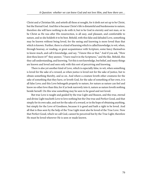Christ and a Christian life, and setteth all these at nought, for it doth not set up to be Christ, but the Eternal God. And this is because Christ's life is distasteful and burdensome to nature, therefore she will have nothing to do with it; but to be God in eternity and not man, or to be Christ as He was after His resurrection, is all easy, and pleasant, and comfortable to nature, and so she holdeth it to be best. Behold, with this false and deluded Love, something may be known without being loved, for the seeing and knowing is more loved than that which is known. Further, there is a kind of learning which is called knowledge; to wit, when, through hearsay, or reading, or great acquaintance with Scripture, some fancy themselves to know much, and call it knowledge, and say, "I know this or that." And if you ask, "How dost thou know it?" they answer, "I have read it in the Scriptures," and the like. Behold, this they call understanding, and knowing. Yet this is not knowledge, but belief, and many things are known and loved and seen only with this sort of perceiving and knowing.

There is also yet another kind of Love, which is especially false, to wit, when something is loved for the sake of a reward, as when justice is loved not for the sake of justice, but to obtain something thereby, and so on. And where a creature loveth other creatures for the sake of something that they have, or loveth God, for the sake of something of her own, it is all false Love; and this Love belongeth properly to nature, for nature as nature can feel and know no other love than this; for if ye look narrowly into it, nature as nature loveth nothing beside herself. On this wise something may be seen to be good and not loved.

But true Love is taught and guided by the true Light and Reason, and this true, eternal and divine Light teacheth Love to love nothing but the One true and Perfect Good, and that simply for its own sake, and not for the sake of a reward, or in the hope of obtaining anything, but simply for the Love of Goodness, because it is good and hath a right to be loved. And all that is thus seen by the help of the True Light must also be loved of the True Love. Now that Perfect Good, which we call God, cannot be perceived but by the True Light; therefore He must be loved wherever He is seen or made known.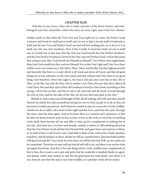#### **CHAPTER XLIII**

Whereby we may know a Man who is made a partaker of the divine Nature, and what belongeth unto him; and further, what is the token of a False Light, and a False Free-Thinker.

Further mark ye; that when the True Love and True Light are in a man, the Perfect Good is known and loved for itself and as itself; and yet not so that it loveth itself of itself and as itself, but the one True and Perfect Good can and will love nothing else, in so far as it is in itself, save the one, true Goodness. Now if this is itself, it must love itself, yet not as itself nor as of itself, but in this wise: that the One true Good loveth the One Perfect Goodness, and the One Perfect Goodness is loved of the One, true and Perfect Good. And in this sense that saying is true, that "God loveth not Himself as Himself." For if there were ought better than God, God would love that, and not Himself. For in this True Light and True Love there neither is nor can remain any I, Me, Mine, Thou, Thine, and the like, but that Light perceiveth and knoweth that there is a Good which is all Good and above all Good, and that all good things are of one substance in the One Good, and that without that One, there is no good thing. And therefore, where this Light is, the man's end and aim is not this or that, Me or Thee, or the like, but only the One, who is neither I nor Thou, this nor that, but is above all I and Thou, this and that; and in Him all Goodness is loved as One Good, according to that saying: "All in One as One, and One in All as All, and One and all Good, is loved through the One in One, and for the sake of the One, for the love that man hath to the One."

Behold, in such a man must all thought of Self, all self-seeking, self-will, and what cometh thereof, be utterly lost and surrendered and given over to God, except in so far as they are necessary to make up a person. And whatever cometh to pass in a man who is truly Godlike, whether he do or suffer, all is done in this Light and this Love, and from the same, through the same, unto the same again. And in his heart there is a content and a quietness, so that he doth not desire to know more or less, to have, to live, to die, to be, or not to be, or anything of the kind; these become all one and alike to him, and he complaineth of nothing but of sin only. And what sin is, we have said already, namely, to desire or will anything otherwise than the One Perfect Good and the One Eternal Will, and apart from and contrary to them, or to wish to have a will of one's own. And what is done of sin, such as lies, fraud, injustice, treachery, and all iniquity, in short, all that we call sin, cometh hence, that man hath another will than God and the True Good; for were there no will but the One Will, no sin could ever be committed. Therefore we may well say that all self-will is sin, and there is no sin but what springeth therefrom. And this is the only thing which a truly Godlike man complaineth of; but to him, this is such a sore pain and grief, that he would die a hundred deaths in agony and shame, rather than endure it; and this his grief must last until death, and where it is not, there be sure that the man is not truly Godlike, or a partaker of the divine nature.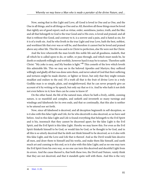Now, seeing that in this Light and Love, all Good is loved in One and as One, and the One in all things, and in all things as One and as All, therefore all those things must be loved that rightly are of good report; such as virtue, order, seemliness, justice, truth, and the like; and all that belongeth to God is the true Good and is His own, is loved and praised; and all that is without this Good, and contrary to it, is a sorrow and a pain, and is hated as sin, for it is of a truth sin. And he who liveth in the true Light and true Love, hath the best, noblest, and worthiest life that ever was or will be, and therefore it cannot but be loved and praised above any other life. This life was and is in Christ to perfection, else He were not the Christ.

And the love wherewith the man loveth this noble life and all goodness, maketh, that all which he is called upon to do, or suffer, or pass through, and which must needs be, he doeth or endureth willingly and worthily, however hard it may be to nature. Therefore saith Christ: "My yoke is easy, and My burden is light."<sup>46</sup> This cometh of the love which loveth this admirable life. This we may see in the beloved Apostles and Martyrs; they suffered willingly and gladly all that was done unto them, and never asked of God that their suffering and tortures might be made shorter, or lighter or fewer, but only that they might remain steadfast and endure to the end. Of a truth all that is the fruit of divine Love in a truly Godlike man is so simple, plain, and straightforward, that he can never properly give an account of it by writing or by speech, but only say that so it is. And he who hath it not doth not even believe in it; how then can he come to know it?

On the other hand, the life of the natural man, where he hath a lively, subtle, cunning nature, is so manifold and complex, and seeketh and inventeth so many turnings and windings and falsehoods for its own ends, and that so continually, that this also is neither to be uttered nor set forth.

Now, since all falsehood is deceived, and all deception beginneth in self-deception, so is it also with this false Light and Life, for he who deceiveth is also deceived, as we have said before. And in this false Light and Life is found everything that belongeth to the Evil Spirit and is his, insomuch that they cannot be discerned apart; for the false Light is the Evil Spirit, and the Evil Spirit is this false Light. Hereby we may know this. For even as the Evil Spirit thinketh himself to be God, or would fain be God, or be thought to be God, and in all this is so utterly deceived that he doth not think himself to be deceived, so is it also with this false Light, and the Love and Life that is thereof. And as the Devil would fain deceive all men, and draw them to himself and his works, and make them like himself, and useth much art and cunning to this end, so is it also with this false Light; and as no one may turn the Evil Spirit from his own way, so no one can turn this deceived and deceitful Light from its errors. And the cause thereof is, that both these two, the Devil and Nature, vainly think that they are not deceived, and that it standeth quite well with them. And this is the very

<sup>46</sup> [Matt. 11:30.](http://www.ccel.org/study/Bible:Matt.11.30)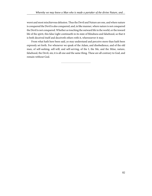worst and most mischievous delusion. Thus the Devil and Nature are one, and where nature is conquered the Devil is also conquered, and, in like manner, where nature is not conquered the Devil is not conquered. Whether as touching the outward life in the world, or the inward life of the spirit, this false Light continueth in its state of blindness and falsehood, so that it is both deceived itself and deceiveth others with it, wheresoever it may.

From what hath here been said, ye may understand and perceive more than hath been expressly set forth. For whenever we speak of the Adam, and disobedience, and of the old man, of self-seeking, self-will, and self-serving, of the I, the Me, and the Mine, nature, falsehood, the Devil, sin; it is all one and the same thing. These are all contrary to God, and remain without God.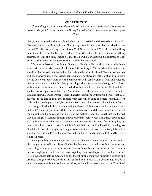#### **CHAPTER XLIV**

How nothing is contrary to God but Self-will and how he who seeketh his own Good for his own sake, findeth it not; and how a Man of himself neither knoweth nor can do any good Thing.

Now, it may be asked; is there aught which is contrary to God and the true Good? I say, No. Likewise, there is nothing without God, except to will otherwise than is willed by the Eternal Will; that is, contrary to the Eternal Will. Now the Eternal Will willeth that nothing be willed or loved but the Eternal Goodness. And where it is otherwise, there is something contrary to Him, and in this sense it is true that he who is without God is contrary to God; but in truth there is no Being contrary to God or the true Good.

We must understand it as though God said: "He who willeth without Me, or willeth not what I will, or otherwise than as I will, he willeth contrary to Me, for My will is that no one should will otherwise than I, and that there should be no will without Me, and without My will; even as without Me, there is neither Substance, nor Life, nor this, nor that, so also there should be no Will apart from Me, and without My will." And even as in truth all beings are one in substance in the Perfect Being, and all good is one in the One Being, and so forth, and cannot exist without that One, so shall all wills be one in the One Perfect Will, and there shall be no will apart from that One. And whatever is otherwise is wrong, and contrary to God and His will, and therefore it is sin. Therefore all will apart from God's will (that is, all self-will) is sin, and so is all that is done from self-will. So long as a man seeketh his own will and his own highest Good, because it is His and for his own sake, he will never find it; for so long as he doeth this, he is not seeking his own highest Good, and how then should he find it? For so long as he doeth this, he seeketh himself, and dreameth that he is himself the highest Good; and seeing that he is not the highest Good, he seeketh not the highest Good, so long as he seeketh himself. But whosoever seeketh, loveth, and pursueth Goodness as Goodness and for the sake of Goodness, and maketh that his end, for nothing but the love of Goodness, not for love of the I, Me, Mine, Self, and the like, he will find the highest Good, for he seeketh it aright, and they who seek it otherwise do err. And truly it is on this wise that the true and Perfect Goodness seeketh and loveth and pursueth itself, and therefore it findeth itself.

It is a great folly when a man, or any creature, dreameth that he knoweth or can accomplish aught of himself, and above all when he dreameth that he knoweth or can fulfil any good thing, whereby he may deserve much at God's hands, and prevail with Him. If he understood rightly, he would see that this is to put a great affront upon God. But the True and Perfect Goodness hath compassion on the foolish simple man who knoweth no better, and ordereth things for the best for him, and giveth him as much of the good things of God as he is able to receive. But as we have said afore, he findeth and receiveth not the True Good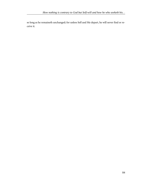so long as he remaineth unchanged; for unless Self and Me depart, he will never find or receive it.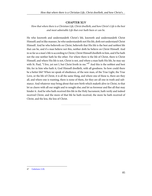# **CHAPTER XLV**

How that where there is a Christian Life, Christ dwelleth, and how Christ's Life is the best and most admirable Life that ever hath been or can be.

He who knoweth and understandeth Christ's life, knoweth and understandeth Christ Himself; and in like manner, he who understandeth not His life, doth not understand Christ Himself. And he who believeth on Christ, believeth that His life is the best and noblest life that can be, and if a man believe not this, neither doth he believe on Christ Himself. And in so far as a man's life is according to Christ, Christ Himself dwelleth in him, and if he hath not the one neither hath he the other. For where there is the life of Christ, there is Christ Himself, and where His life is not, Christ is not, and where a man hath His life, he may say with St. Paul, "I live, yet not I, but Christ liveth in me."<sup>47</sup> And this is the noblest and best life; for in him who hath it, God Himself dwelleth, with all goodness. So how could there be a better life? When we speak of obedience, of the new man, of the True Light, the True Love, or the life of Christ, it is all the same thing, and where one of these is, there are they all, and where one is wanting, there is none of them, for they are all one in truth and substance. And whatever may bring about that new birth which maketh alive in Christ, to that let us cleave with all our might and to nought else; and let us forswear and flee all that may hinder it. And he who hath received this life in the Holy Sacrament, hath verily and indeed received Christ, and the more of that life he hath received, the more he hath received of Christ, and the less, the less of Christ.

<sup>47</sup> [Galatians 2:20.](http://www.ccel.org/study/Bible:Gal.2.20)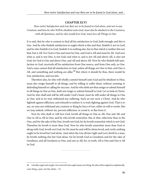#### **CHAPTER XLVI**

How entire Satisfaction and true Rest are to be found in God alone, and not in any Creature; and how he who Will be obedient unto God, must also be obedient to the Creatures, with all Quietness, and he who would love God, must love all Things in One.

It is said, that he who is content to find all his satisfaction in God, hath enough; and this is true. And he who findeth satisfaction in aught which is this and that, findeth it not in God; and he who findeth it in God, findeth it in nothing else, but in that which is neither this nor that, but is All. For God is One and must be One, and God is All and must be All. And now what is, and is not One, is not God; and what is, and is not All and above All, is also not God, for God is One and above One, and All and above All. Now he who findeth full satisfaction in God, receiveth all his satisfaction from One source, and from One only, as One. And a man cannot find all satisfaction in God, unless all things are One to him, and One is All, and something and nothing are alike.<sup>48</sup> But where it should be thus, there would be true satisfaction, and not else.

Therefore also, he who will wholly commit himself unto God and be obedient to Him, must also resign himself to all things, and be willing to suffer them, without resisting or defending himself or calling for succour. And he who doth not thus resign or submit himself to all things in One as One, doth not resign or submit himself to God. Let us look at Christ. And he who shall and will lie still under God's hand, must lie still under all things in One as One, and in no wise withstand any suffering. Such an one were a Christ. And he who fighteth against affliction, and refuseth to endure it, is truly fighting against God. That is to say, we may not withstand any creature or thing by force of war, either in will or works. But we may indeed, without sin, prevent affliction, or avoid it, or flee from it.

Now he who shall or will love God, loveth all things in One as All, One and All, and One in All as All in One; and he who loveth somewhat, this or that, otherwise than in the One, and for the sake of the One, loveth not God; for he loveth somewhat which is not God. Therefore he loveth it more than God. Now he who loveth somewhat more than God or along with God, loveth not God, for He must be and will be alone loved, and verily nothing ought to be loved but God alone. And when the true divine Light and Love dwell in a man, he loveth nothing else but God alone, for he loveth God as Goodness and for the sake of Goodness, and all Goodness as One, and one as All; for, in truth, All is One and One is All in God.

<sup>48</sup> Literally *aught* and *nought, itch und nicht;* but *aught* means *any* thing, the idea of the original is emphatically some thing, a part, not the whole.—Tr.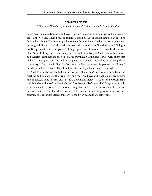#### **CHAPTER XLVII**

#### A Question: Whether, if we ought to love all Things, we ought to love Sin also?

Some may put a question here and say: "If we are to love all things, must we then love sin too?" I answer: No. When I say "all things," I mean all Good; and all that is, is good, in so far as it hath Being. The Devil is good in so far as he hath Being. In this sense nothing is evil, or not good. But sin is to will, desire, or love otherwise than as God doth. And Willing is not Being, therefore it is not good. Nothing is good except in so far as it is in God and with God. Now all things have their Being in God, and more truly in God than in themselves, and therefore all things are good in so far as they have a Being, and if there were aught that had not its Being in God, it would not be good. Now behold, the willing or desiring which is contrary to God is not in God; for God cannot will or desire anything contrary to Himself, or otherwise than Himself. Therefore it is evil or not good, and is merely nought.

God loveth also works, but not all works. Which then? Such as are done from the teaching and guidance of the True Light and the True Love; and what is done from these and in these, is done in spirit and in truth, and what is thereof, is God's, and pleaseth Him well. But what is done of the false Light and false Love, is all of the Wicked One; and especially what happeneth, is done or left undone, wrought or suffered from any other will, or desire, or love, than God's will, or desire, or love. This is, and cometh to pass, without God and contrary to God, and is utterly contrary to good works, and is altogether sin.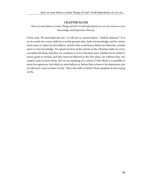# **CHAPTER XLVIII**

How we must believe certain Things of God's Truth beforehand, ere we can come to a true Knowledge and Experience thereof.

Christ said, "He that believeth not," or will not or cannot believe, "shall be damned." It is so of a truth; for a man, while he is in this present time, hath not knowledge; and he cannot attain unto it, unless he first believe. And he who would know before he believeth, cometh never to true knowledge. We speak not here of the articles of the Christian faith, for every one believeth them, and they are common to every Christian man, whether he be sinful or saved, good or wicked; and they must be believed in the first place, for without that, one cannot come to know them. But we are speaking of a certain Truth which it is possible to know by experience, but which ye must believe in, before that ye know it by experience, else ye will never come to know it truly. This is the faith of which Christ speaketh in that saying of His.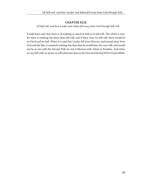# **CHAPTER XLIX**

Of Self-will, and how Lucifer and Adam fell away from God through Self-will.

It hath been said, that there is of nothing so much in hell as of self-will. The which is true, for there is nothing else there than self-will, and if there were no self-will, there would be no Devil and no hell. When it is said that Lucifer fell from Heaven, and turned away from God and the like, it meaneth nothing else than that he would have his own will, and would not be at one with the Eternal Will. So was it likewise with Adam in Paradise. And when we say Self-will, we mean, to will otherwise than as the One and Eternal Will of God willeth.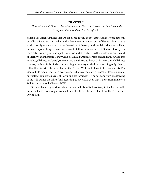# **CHAPTER L**

How this present Time is a Paradise and outer Court of Heaven, and how therein there is only one Tree forbidden, that is, Self-will.

What is Paradise? All things that are; for all are goodly and pleasant, and therefore may fitly be called a Paradise. It is said also, that Paradise is an outer court of Heaven. Even so this world is verily an outer court of the Eternal, or of Eternity, and specially whatever in Time, or any temporal things or creatures, manifesteth or remindeth us of God or Eternity; for the creatures are a guide and a path unto God and Eternity. Thus this world is an outer court of Eternity, and therefore it may well be called a Paradise, for it is such in truth. And in this Paradise, all things are lawful, save one tree and the fruits thereof. That is to say: of all things that are, nothing is forbidden and nothing is contrary to God but one thing only: that is, Self-will, or to will otherwise than as the Eternal Will would have it. Remember this. For God saith to Adam, that is, to every man, "Whatever thou art, or doest, or leavest undone, or whatever cometh to pass, is all lawful and not forbidden if it be not done from or according to thy will, but for the sake of and according to My will. But all that is done from thine own Will is contrary to the Eternal Will."

It is not that every work which is thus wrought is in itself contrary to the Eternal Will, but in so far as it is wrought from a different will, or otherwise than from the Eternal and Divine Will.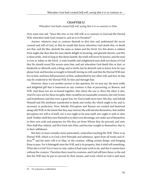### **CHAPTER LI**

Wherefore God hath created Self-will, seeing that it is so contrary to Him.

Now some may ask: "Since this tree, to wit, Self-will, is so contrary to God and the Eternal Will, wherefore hath God created it, and set it in Paradise?"

Answer: whatever man or creature desireth to dive into and understand the secret counsel and will of God, so that he would fain know wherefore God doeth this, or doeth not that, and the like, desireth the same as Adam and the Devil. For this desire is seldom from aught else than that the man taketh delight in knowing, and glorieth therein, and this is sheer pride. And so long as this desire lasteth, the truth will never be known, and the man is even as Adam or the Devil. A truly humble and enlightened man doth not desire of God that He should reveal His secrets unto him, and ask wherefore God doeth this or that, or hindereth or alloweth such a thing, and so forth; but he desireth only to know how he may please God, and become as nought in himself, having no will, and that the Eternal Will may live in him, and have full possession of him, undisturbed by any other will, and how its due may be rendered to the Eternal Will, by him and through him.

However, there is yet another answer to this question, for we may say: the most noble and delightful gift that is bestowed on any creature is that of perceiving, or Reason, and Will. And these two are so bound together, that where the one is, there the other is also. And if it were not for these two gifts, there would be no reasonable creatures, but only brutes and brutishness; and that were a great loss, for God would never have His due, and behold Himself and His attributes manifested in deeds and works; the which ought to be, and is, necessary to perfection. Now, behold, Perception and Reason are created and bestowed along with Will, to the intent that they may instruct the will and also themselves, that neither perception nor will is of itself, nor is nor ought to be unto itself, nor ought to seek or obey itself. Neither shall they turn themselves to their own advantage, nor make use of themselves to their own ends and purposes; for His they are from Whom they do proceed, and unto Him shall they submit, and flow back into Him, and become nought in themselves, that is, in their selfishness.

But here ye must consider more particularly, somewhat touching the Will. There is an Eternal Will, which is in God a first Principle and substance, apart from all works and effects, $49$  and the same will is in Man, or the creature, willing certain things, and bringing them to pass. For it belongeth unto the Will, and is its property, that it shall will something. What else is it for? For it were in vain, unless it had some work to do, and this it cannot have without the creature. Therefore there must be creatures, and God will have them, to the end that the Will may be put in exercise by their means, and work, which in God is and must

<sup>49</sup> Or realisation, wirklichkeit.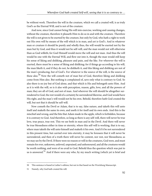be without work. Therefore the will in the creature, which we call a created will, is as truly God's as the Eternal Will, and is not of the creature.

And now, since God cannot bring His will into exercise, working and causing changes, without the creature, therefore it pleaseth Him to do so in and with the creature. Therefore the will is not given to be exerted by the creature, but only by God, who hath a right to work out His own will by means of the will which is in man, and yet is God's. And in whatever man or creature it should be purely and wholly thus, the will would be exerted not by the man but by God, and thus it would not be self-will, and the man would not will otherwise than as God willeth; for God Himself would move the will and not man. And thus the will would be one with the Eternal Will, and flow out into it, though the man would still keep his sense of liking and disliking, pleasure and pain, and the like. For wherever the will is exerted, there must be a sense of liking and disliking; for if things go according to his will, the man liketh it, and if they do not, he disliketh it, and this liking and disliking are not of the man's producing, but of God's. For whatever is the source of the will, is the source of these also.<sup>50</sup> Now the will cometh not of man but of God, therefore liking and disliking come from Him also. But nothing is complained of, save only what is contrary to God. So also there is no joy but of God alone, and that which is His and belongeth unto Him. And as it is with the will, so is it also with perception, reason, gifts, love, and all the powers of man; they are all of God, and not of man. And wherever the will should be altogether surrendered to God, the rest would of a certainty be surrendered likewise, and God would have His right, and the man's will would not be his own. Behold, therefore hath God created the will, but not that it should be self-will.

Now cometh the Devil or Adam, that is to say, false nature, and taketh this will unto itself and maketh the same its own, and useth it for itself and its own ends. And this is the mischief and wrong, and the bite that Adam made in the apple, which is forbidden, because it is contrary to God. And therefore, so long as there is any self-will, there will never be true love, true peace, true rest. This we see both in man and in the Devil. And there will never be true blessedness either in time or eternity, where this self-will is working, that is to say, where man taketh the will unto himself and maketh it his own. And if it be not surrendered in this present time, but carried over into eternity, it may be foreseen that it will never be surrendered, and then of a truth there will never be content, nor rest, nor blessedness; as we may see by the Devil. If there were no reason or will in the creatures, God were, and must remain for ever, unknown, unloved, unpraised, and unhonoured, and all the creatures would be worth nothing, and were of no avail to God. Behold thus the question which was put to us is answered.<sup>51</sup> And if there were any who, by my much writing (which yet is brief and

<sup>50</sup> This sentence is found in Luther's edition, but not in that based on the Wurtzburg Manuscript.

<sup>51</sup> Namely, why God hath created the will.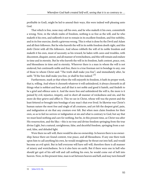profitable in God), might be led to amend their ways, this were indeed well-pleasing unto God.

That which is free, none may call his own, and he who maketh it his own, committeth a wrong. Now, in the whole realm of freedom, nothing is so free as the will, and he who maketh it his own, and suffereth it not to remain in its excellent freedom, and free nobility, and in its free exercise, doeth a grievous wrong. This is what is done by the Devil and Adam and all their followers. But he who leaveth the will in its noble freedom doeth right, and this doth Christ with all His followers. And whoso robbeth the will of its noble freedom and maketh it his own, must of necessity as his reward, be laden with cares and troubles, with discontent, disquiet, unrest, and all manner of wretchedness, and this will remain and endure in time and in eternity. But he who leaveth the will in its freedom, hath content, peace, rest, and blessedness in time and in eternity. Wherever there is a man in whom the will is not enslaved, but continueth noble and free, there is a true freeman not in bondage to any, one of those to whom Christ said: "The truth shall make you free"; and immediately after, he saith: "If the Son shall make you free, ye shall be free indeed." $52$ 

Furthermore, mark ye that where the will enjoyeth its freedom, it hath its proper work, that is, willing. And where it chooseth whatever it will unhindered, it always chooseth in all things what is noblest and best, and all that is not noble and good it hateth, and findeth to be a grief and offence unto it. And the more free and unhindered the will is, the more is it pained by evil, injustice, iniquity, and in short all manner of wickedness and sin, and the more do they grieve and afflict it. This we see in Christ, whose will was the purest and the least fettered or brought into bondage of any man's that ever lived. So likewise was Christ's human nature the most free and single of all creatures, and yet felt the deepest grief, pain, and indignation at sin that any creature ever felt. But when men claim freedom for their own, so as to feel no sorrow or indignation at sin and what is contrary to God, but say that we must heed nothing and care for nothing, but be, in this present time, as Christ was after His resurrection, and the like;—this is no true and divine freedom springing from the true divine Light, but a natural, unrighteous, false, and deceitful freedom, springing from a natural, false, and deluded light.

Were there no self-will, there would be also no ownership. In heaven there is no ownership; hence there are found content, true peace, and all blessedness. If any one there took upon him to call anything his own, he would straightway be thrust out into hell, and would become an evil spirit. But in hell everyone will have self-will, therefore there is all manner of misery and wretchedness. So is it also here on earth. But if there were one in hell who should get quit of his self-will and call nothing his own, he would come out of hell into heaven. Now, in this present time, man is set between heaven and hell, and may turn himself

<sup>52</sup> [John 8:32-36.](http://www.ccel.org/study/Bible:John.8.32-John.8.36)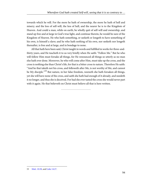towards which he will. For the more he hath of ownership, the more he hath of hell and misery; and the less of self-will, the less of hell, and the nearer he is to the Kingdom of Heaven. And could a man, while on earth, be wholly quit of self-will and ownership, and stand up free and at large in God's true light, and continue therein, he would be sure of the Kingdom of Heaven. He who hath something, or seeketh or longeth to have something of his own, is himself a slave; and he who hath nothing of his own, nor seeketh nor longeth thereafter, is free and at large, and in bondage to none.

All that hath here been said, Christ taught in words and fulfilled in works for three-andthirty years, and He teacheth it to us very briefly when He saith: "Follow Me." But he who will follow Him must forsake all things, for He renounced all things so utterly as no man else hath ever done. Moreover, he who will come after Him, must take up the cross, and the cross is nothing else than Christ's life, for that is a bitter cross to nature. Therefore He saith: "And he that taketh not his cross, and followeth after Me, is not worthy of Me, and cannot be My disciple."<sup>53</sup> But nature, in her false freedom, weeneth she hath forsaken all things, yet she will have none of the cross, and saith she hath had enough of it already, and needeth it no longer, and thus she is deceived. For had she ever tasted the cross she would never part with it again. He that believeth on Christ must believe all that is here written.

<sup>53</sup> [Matt. 10:38,](http://www.ccel.org/study/Bible:Matt.10.38) and [Luke 14:27.](http://www.ccel.org/study/Bible:Luke.14.27)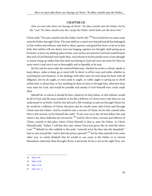## **CHAPTER LII**

How we must take those two Sayings of Christ: "No Man cometh unto the Father, but by Me," and "No Man cometh unto Me, except the Father which hath sent Me draw him."

Christ saith: "No man cometh unto the Father, but by Me."<sup>54</sup> Now mark how we must come unto the Father through Christ. The man shall set a watch over himself and all that belongeth to him within and without, and shall so direct, govern, and guard his heart, as far as in him lieth, that neither will nor desire, love nor longing, opinion nor thought, shall spring up in his heart, or have any abiding-place in him, save such as are meet for God and would beseem him well, if God Himself were made Man. And whenever he becometh aware of any thought or intent rising up within him that doth not belong to God and were not meet for Him, he must resist it and root it out as thoroughly and as Speedily as he may.

By this rule he must order his outward behaviour, whether he work or refrain, speak or keep silence, wake or sleep, go or stand still. In short: in all his ways and walks, whether as touching his own business, or his dealings with other men, he must keep his heart with all diligence, lest he do aught, or turn aside to aught, or suffer aught to spring up or dwell within him or about him, or lest anything be done in him or through him, otherwise than were meet for God, and would be possible and seemly if God Himself were verily made Man.

Behold! he, in whom it should be thus, whatever he had within, or did without, would be all of God, and the man would be in his life a follower of Christ more truly than we can understand or set forth. And he who led such a life would go in and out through Christ; for he would be a follower of Christ: therefore also he would come with Christ and through Christ unto the Father. And he would be also a servant of Christ, for he who cometh after Him is His servant, as He Himself also saith: "If any man serve Me, let him follow Me; and where I am, there shall also my servant be."<sup>55</sup> And he who is thus a servant and follower of Christ, cometh to that place where Christ Himself is; that is, unto the Father. As Christ Himself saith: "Father, I will that they also, whom Thou hast given Me, be with Me where I am."<sup>56</sup> Behold, he who walketh in this path, "entereth in by the door into the sheepfold," that is, into eternal life; "and to him the porter openeth";  $5<sup>57</sup>$  but he who entereth in by some other way, or vainly thinketh that he would or can come to the Father or to eternal blessedness otherwise than through Christ, is deceived; for he is not in the right Way, nor

<sup>54</sup> [John 14:6](http://www.ccel.org/study/Bible:John.14.6).

<sup>55</sup> [John 12:26](http://www.ccel.org/study/Bible:John.12.26).

<sup>56</sup> [John 17:24](http://www.ccel.org/study/Bible:John.17.24).

<sup>57</sup> [John 10:1, 3](http://www.ccel.org/study/Bible:John.10.1 Bible:John.10.3).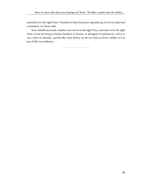entereth in by the right Door. Therefore to him the porter openeth not, for he is a thief and a murderer, as Christ saith.

Now, behold and mark, whether one can be in the right Way, and enter in by the right Door, if one be living in lawless freedom or license, or disregard of ordinances, virtue or vice, order or disorder, and the like. Such liberty we do not find in Christ, neither is it in any of His true followers.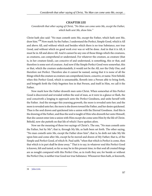### **CHAPTER LIII**

Considereth that other saying of Christ, "No Man can come unto Me, except the Father, which hath sent Me, draw him."

Christ hath also said: "No man cometh unto Me, except the Father, which hath sent Me, draw him."<sup>58</sup> Now mark: by the Father, I understand the Perfect, Simple Good, which is All and above All, and without which and besides which there is no true Substance, nor true Good, and without which no good work ever was or will be done. And in that it is All, it must be in All and above All. And it cannot be any one of those things which the creatures, as creatures, can comprehend or understand. For whatever the creature, as creature (that is, in her creature kind), can conceive of and understand, is something, this or that, and therefore is some sort of creature. And now if the Simple Perfect Good were somewhat, this or that, which the creature understandeth, it would not be the All, nor the Only One, and therefore not Perfect. Therefore also it cannot be named, seeing that it is none of all the things which the creature as creature can comprehend, know, conceive, or name. Now behold, when this Perfect Good, which is unnameable, floweth into a Person able to bring forth, and bringeth forth the Only-begotten Son in that Person, and itself in Him, we call it the Father.

Now mark how the Father draweth men unto Christ. When somewhat of this Perfect Good is discovered and revealed within the soul of man, as it were in a glance or flash, the soul conceiveth a longing to approach unto the Perfect Goodness, and unite herself with the Father. And the stronger this yearning groweth, the more is revealed unto her; and the more is revealed unto her, the more is she drawn toward the Father, and her desire quickened. Thus is the soul drawn and quickened into a union with the Eternal Goodness. And this is the drawing of the Father, and thus the soul is taught of Him who draweth her unto Himself, that she cannot enter into a union with Him except she come unto Him by the life of Christ. Behold, now she putteth on that life of which I have spoken afore.

Now see the meaning of these two sayings of Christ's. The one, "No man cometh unto the Father, but by Me"; that is, through My life, as hath been set forth. The other saying, "No man cometh unto Me, except the Father draw him"; that is, he doth not take My life upon him and come after Me, except he be moved and drawn of My Father; that is, of the Simple and Perfect Good, of which St. Paul saith; "when that which is Perfect is come, then that which is in part shall be done away." That is to say; in whatever soul this Perfect Good is known, felt and tasted, so far as may be in this present time, to that soul all created things are as nought compared with this Perfect One, as in truth they are; for beside or without the Perfect One, is neither true Good nor true Substance. Whosoever then hath, or knoweth,

<sup>58</sup> [John 6:44](http://www.ccel.org/study/Bible:John.6.44).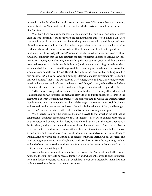or loveth, the Perfect One, hath and knoweth all goodness. What more then doth he want, or what is all that "is in part" to him, seeing that all the parts are united in the Perfect, in One Substance?

What hath here been said, concerneth the outward life, and is a good way or access unto the true inward life; but the inward life beginneth after this. When a man hath tasted that which is perfect as far as is possible in this present time, all created things and even himself become as nought to him. And when he perceiveth of a truth that the Perfect One is All and above All, he needs must follow after Him, and ascribe all that is good, such as Substance, Life, Knowledge, Reason, Power, and the like, unto Him alone and to no creature. And hence followeth that the man claimeth for his own neither Substance, Life, Knowledge, nor Power, Doing nor Refraining, nor anything that we can call good. And thus the man becometh so poor, that he is nought in himself, and so are also all things unto him which are somewhat, that is, all created things. And then there beginneth in him a true inward life, wherein from henceforward, God Himself dwelleth in the man, so that nothing is left in him but what is God's or of God, and nothing is left which taketh anything unto itself. And thus God Himself, that is, the One Eternal Perfectness, alone is, liveth, knoweth, worketh, loveth, willeth, doeth and refraineth in the man. And thus, of a truth, it should be, and where it is not so, the man hath yet far to travel, and things are not altogether right with him.

Furthermore, it is a good way and access unto this life, to feel always that what is best is dearest, and always to prefer the best, and cleave to it, and unite oneself to it. First: in the creatures. But what is best in the creatures? Be assured: that, in which the Eternal Perfect Goodness and what is thereof, that is, all which belongeth thereunto, most brightly shineth and worketh, and is best known and loved. But what is that which is of God, and belongeth unto Him? I answer: whatever with justice and truth we do, or might call good.

When therefore among the creatures the man cleaveth to that which is the best that he can perceive, and keepeth steadfastly to that, in singleness of heart, he cometh afterward to what is better and better, until, at last, he findeth and tasteth that the Eternal Good is a Perfect Good, without measure and number above all created good. Now if what is best is to be dearest to us, and we are to follow after it, the One Eternal Good must be loved above all and alone, and we must cleave to Him alone, and unite ourselves with Him as closely as we may. And now if we are to ascribe all goodness to the One Eternal Good, as of right and truth we ought, so must we also of right and truth ascribe unto Him the beginning, middle, and end of our course, so that nothing remain to man or the creature. So it should be of a truth, let men say what they will.

Now on this wise we should attain unto a true inward life. And what then further would happen to the soul, or would be revealed unto her, and what her life would be henceforward, none can declare or guess. For it is that which hath never been uttered by man's lips, nor hath it entered into the heart of man to conceive.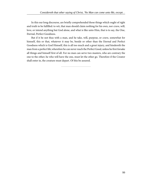In this our long discourse, are briefly comprehended those things which ought of right and truth to be fulfilled: to wit, that man should claim nothing for his own, nor crave, will, love, or intend anything but God alone, and what is like unto Him, that is to say, the One, Eternal, Perfect Goodness.

But if it be not thus with a man, and he take, will, purpose, or crave, somewhat for himself, this or that, whatever it may be, beside or other than the Eternal and Perfect Goodness which is God Himself, this is all too much and a great injury, and hindereth the man from a perfect life; wherefore he can never reach the Perfect Good, unless he first forsake all things and himself first of all. For no man can serve two masters, who are contrary the one to the other; he who will have the one, must let the other go. Therefore if the Creator shall enter in, the creature must depart. Of this be assured.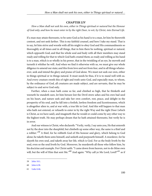## **CHAPTER LIV**

How a Man shall not seek his own, either in Things spiritual or natural but the Honour of God only; and how he must enter in by the right Door, to wit, by Christ, into Eternal Life.

If a man may attain thereunto, to be unto God as his hand is to a man, let him be therewith content, and not seek farther. This is my faithful counsel, and here I take my stand. That is to say, let him strive and wrestle with all his might to obey God and His commandments so thoroughly at all times and in all things, that in him there be nothing, spiritual or natural, which opposeth God; and that his whole soul and body with all their members may stand ready and willing for that to which God hath created them; as ready and willing as his hand is to a man, which is so wholly in his power, that in the twinkling of an eye, he moveth and turneth it whither he will. And when we find it otherwise with us, we must give our whole diligence to amend our state; and this from love and not from fear, and in all things whatsoever, seek and intend the glory and praise of God alone. We must not seek our own, either in things spiritual or in things natural. It must needs be thus, if it is to stand well with us. And every creature oweth this of right and truth unto God, and especially man, to whom, by the ordinance of God, all creatures are made subject, and are servants, that he may be subject to and serve God only.

Further, when a man hath come so far, and climbed so high, that he thinketh and weeneth he standeth sure, let him beware lest the Devil strew ashes and his own bad seed on his heart, and nature seek and take her own comfort, rest, peace, and delight in the prosperity of his soul, and he fall into a foolish, lawless freedom and licentiousness, which is altogether alien to, and at war with, a true life in God. And this will happen to that man who hath not entered, or refuseth to enter in by the right Way and the right Door (which is Christ, as we have said), and imagineth that he would or could come by any other way to the highest truth. He may perhaps dream that he hath attained thereunto, but verily he is in error.

And our witness is Christ, who declareth: "Verily, verily, I say unto you, He that entereth not by the door into the sheepfold, but climbeth up some other way, the same is a thief and a robber."<sup>59</sup> A thief, for he robbeth God of His honour and glory, which belong to God alone; he taketh them unto himself, and seeketh and purposeth himself. A murderer, for he slayeth his own soul, and taketh away her life, which is God. For as the body liveth by the soul, even so the soul liveth by God. Moreover, he murdereth all those who follow him, by his doctrine and example. For Christ saith: "I came down from heaven, not to do Mine own will, but the will of Him that sent Me."<sup>60</sup> And again: "Why call ye Me Lord, Lord?"<sup>61</sup> as if

<sup>59</sup> [John 10:1](http://www.ccel.org/study/Bible:John.10.1).

<sup>60</sup> [John 6:38](http://www.ccel.org/study/Bible:John.6.38).

<sup>61</sup> [Luke 6:46.](http://www.ccel.org/study/Bible:Luke.6.46)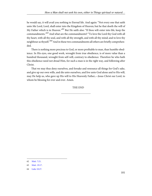he would say, it will avail you nothing to Eternal life. And again: "Not every one that saith unto Me Lord, Lord, shall enter into the Kingdom of Heaven; but he that doeth the will of My Father which is in Heaven." $62$  But He saith also: "If thou wilt enter into life, keep the commandments."<sup>63</sup> And what are the commandments? "To love the Lord thy God with all thy heart, with all thy soul, and with all thy strength, and with all thy mind; and to love thy neighbour as thyself."<sup>64</sup> And in these two commandments all others are briefly comprehended.

There is nothing more precious to God, or more profitable to man, than humble obedience. In His eyes, one good work, wrought from true obedience, is of more value than a hundred thousand, wrought from self-will, contrary to obedience. Therefore he who hath this obedience need not dread Him, for such a man is in the right way, and following after Christ.

That we may thus deny ourselves, and forsake and renounce all things for God's sake, and give up our own wills, and die unto ourselves, and live unto God alone and to His will, may He help us, who gave up His will to His Heavenly Father,—Jesus Christ our Lord, to whom be blessing for ever and ever. Amen.

#### THE END

<sup>62</sup> [Matt. 7:21](http://www.ccel.org/study/Bible:Matt.7.21).

<sup>63</sup> [Matt. 19:17.](http://www.ccel.org/study/Bible:Matt.19.17)

<sup>64</sup> [Luke 10:27.](http://www.ccel.org/study/Bible:Luke.10.27)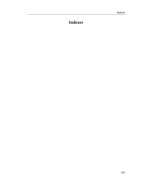## **Indexes**